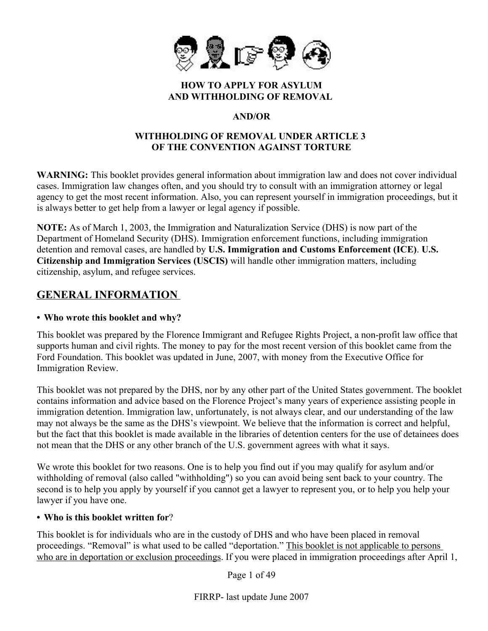

#### **HOW TO APPLY FOR ASYLUM AND WITHHOLDING OF REMOVAL**

# **AND/OR**

#### **WITHHOLDING OF REMOVAL UNDER ARTICLE 3 OF THE CONVENTION AGAINST TORTURE**

**WARNING:** This booklet provides general information about immigration law and does not cover individual cases. Immigration law changes often, and you should try to consult with an immigration attorney or legal agency to get the most recent information. Also, you can represent yourself in immigration proceedings, but it is always better to get help from a lawyer or legal agency if possible.

**NOTE:** As of March 1, 2003, the Immigration and Naturalization Service (DHS) is now part of the Department of Homeland Security (DHS). Immigration enforcement functions, including immigration detention and removal cases, are handled by **U.S. Immigration and Customs Enforcement (ICE)**. **U.S. Citizenship and Immigration Services (USCIS)** will handle other immigration matters, including citizenship, asylum, and refugee services.

# **GENERAL INFORMATION**

#### **• Who wrote this booklet and why?**

This booklet was prepared by the Florence Immigrant and Refugee Rights Project, a non-profit law office that supports human and civil rights. The money to pay for the most recent version of this booklet came from the Ford Foundation. This booklet was updated in June, 2007, with money from the Executive Office for Immigration Review.

This booklet was not prepared by the DHS, nor by any other part of the United States government. The booklet contains information and advice based on the Florence Project's many years of experience assisting people in immigration detention. Immigration law, unfortunately, is not always clear, and our understanding of the law may not always be the same as the DHS's viewpoint. We believe that the information is correct and helpful, but the fact that this booklet is made available in the libraries of detention centers for the use of detainees does not mean that the DHS or any other branch of the U.S. government agrees with what it says.

We wrote this booklet for two reasons. One is to help you find out if you may qualify for asylum and/or withholding of removal (also called "withholding") so you can avoid being sent back to your country. The second is to help you apply by yourself if you cannot get a lawyer to represent you, or to help you help your lawyer if you have one.

#### **• Who is this booklet written for**?

This booklet is for individuals who are in the custody of DHS and who have been placed in removal proceedings. "Removal" is what used to be called "deportation." This booklet is not applicable to persons who are in deportation or exclusion proceedings. If you were placed in immigration proceedings after April 1,

Page 1 of 49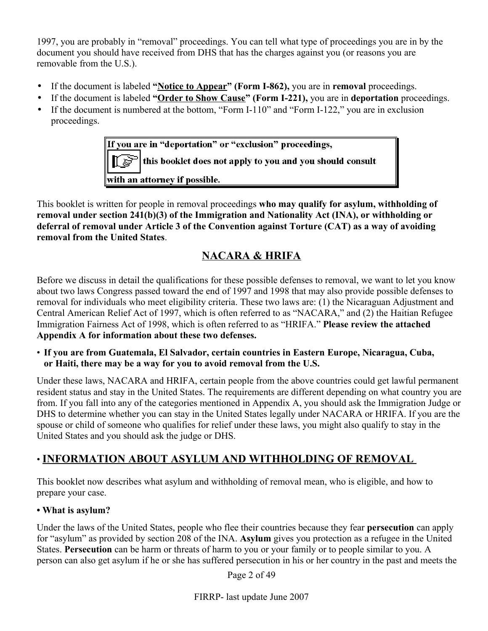1997, you are probably in "removal" proceedings. You can tell what type of proceedings you are in by the document you should have received from DHS that has the charges against you (or reasons you are removable from the U.S.).

- If the document is labeled **"Notice to Appear" (Form I-862),** you are in **removal** proceedings.
- If the document is labeled **"Order to Show Cause" (Form I-221),** you are in **deportation** proceedings.
- If the document is numbered at the bottom, "Form I-110" and "Form I-122," you are in exclusion proceedings.

If you are in "deportation" or "exclusion" proceedings, this booklet does not apply to you and you should consult with an attorney if possible.

This booklet is written for people in removal proceedings **who may qualify for asylum, withholding of removal under section 241(b)(3) of the Immigration and Nationality Act (INA), or withholding or deferral of removal under Article 3 of the Convention against Torture (CAT) as a way of avoiding removal from the United States**.

# **NACARA & HRIFA**

Before we discuss in detail the qualifications for these possible defenses to removal, we want to let you know about two laws Congress passed toward the end of 1997 and 1998 that may also provide possible defenses to removal for individuals who meet eligibility criteria. These two laws are: (1) the Nicaraguan Adjustment and Central American Relief Act of 1997, which is often referred to as "NACARA," and (2) the Haitian Refugee Immigration Fairness Act of 1998, which is often referred to as "HRIFA." **Please review the attached Appendix A for information about these two defenses.** 

• **If you are from Guatemala, El Salvador, certain countries in Eastern Europe, Nicaragua, Cuba, or Haiti, there may be a way for you to avoid removal from the U.S.**

Under these laws, NACARA and HRIFA, certain people from the above countries could get lawful permanent resident status and stay in the United States. The requirements are different depending on what country you are from. If you fall into any of the categories mentioned in Appendix A, you should ask the Immigration Judge or DHS to determine whether you can stay in the United States legally under NACARA or HRIFA. If you are the spouse or child of someone who qualifies for relief under these laws, you might also qualify to stay in the United States and you should ask the judge or DHS.

# • **INFORMATION ABOUT ASYLUM AND WITHHOLDING OF REMOVAL**

This booklet now describes what asylum and withholding of removal mean, who is eligible, and how to prepare your case.

# **• What is asylum?**

Under the laws of the United States, people who flee their countries because they fear **persecution** can apply for "asylum" as provided by section 208 of the INA. **Asylum** gives you protection as a refugee in the United States. **Persecution** can be harm or threats of harm to you or your family or to people similar to you. A person can also get asylum if he or she has suffered persecution in his or her country in the past and meets the

Page 2 of 49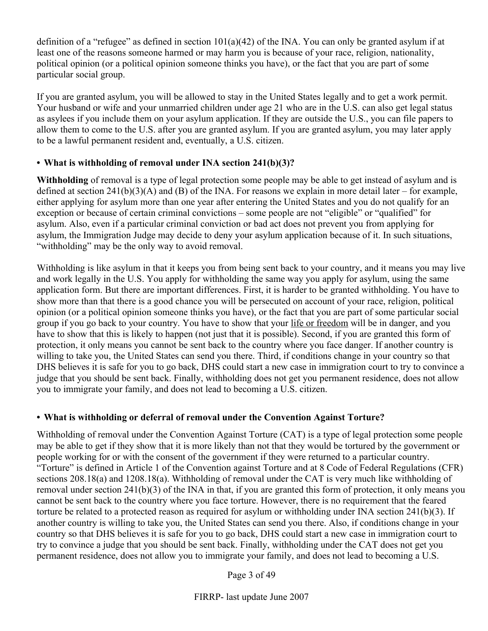definition of a "refugee" as defined in section  $101(a)(42)$  of the INA. You can only be granted asylum if at least one of the reasons someone harmed or may harm you is because of your race, religion, nationality, political opinion (or a political opinion someone thinks you have), or the fact that you are part of some particular social group.

If you are granted asylum, you will be allowed to stay in the United States legally and to get a work permit. Your husband or wife and your unmarried children under age 21 who are in the U.S. can also get legal status as asylees if you include them on your asylum application. If they are outside the U.S., you can file papers to allow them to come to the U.S. after you are granted asylum. If you are granted asylum, you may later apply to be a lawful permanent resident and, eventually, a U.S. citizen.

# **• What is withholding of removal under INA section 241(b)(3)?**

**Withholding** of removal is a type of legal protection some people may be able to get instead of asylum and is defined at section 241(b)(3)(A) and (B) of the INA. For reasons we explain in more detail later – for example, either applying for asylum more than one year after entering the United States and you do not qualify for an exception or because of certain criminal convictions – some people are not "eligible" or "qualified" for asylum. Also, even if a particular criminal conviction or bad act does not prevent you from applying for asylum, the Immigration Judge may decide to deny your asylum application because of it. In such situations, "withholding" may be the only way to avoid removal.

Withholding is like asylum in that it keeps you from being sent back to your country, and it means you may live and work legally in the U.S. You apply for withholding the same way you apply for asylum, using the same application form. But there are important differences. First, it is harder to be granted withholding. You have to show more than that there is a good chance you will be persecuted on account of your race, religion, political opinion (or a political opinion someone thinks you have), or the fact that you are part of some particular social group if you go back to your country. You have to show that your life or freedom will be in danger, and you have to show that this is likely to happen (not just that it is possible). Second, if you are granted this form of protection, it only means you cannot be sent back to the country where you face danger. If another country is willing to take you, the United States can send you there. Third, if conditions change in your country so that DHS believes it is safe for you to go back, DHS could start a new case in immigration court to try to convince a judge that you should be sent back. Finally, withholding does not get you permanent residence, does not allow you to immigrate your family, and does not lead to becoming a U.S. citizen.

# **• What is withholding or deferral of removal under the Convention Against Torture?**

Withholding of removal under the Convention Against Torture (CAT) is a type of legal protection some people may be able to get if they show that it is more likely than not that they would be tortured by the government or people working for or with the consent of the government if they were returned to a particular country. "Torture" is defined in Article 1 of the Convention against Torture and at 8 Code of Federal Regulations (CFR) sections 208.18(a) and 1208.18(a). Withholding of removal under the CAT is very much like withholding of removal under section 241(b)(3) of the INA in that, if you are granted this form of protection, it only means you cannot be sent back to the country where you face torture. However, there is no requirement that the feared torture be related to a protected reason as required for asylum or withholding under INA section 241(b)(3). If another country is willing to take you, the United States can send you there. Also, if conditions change in your country so that DHS believes it is safe for you to go back, DHS could start a new case in immigration court to try to convince a judge that you should be sent back. Finally, withholding under the CAT does not get you permanent residence, does not allow you to immigrate your family, and does not lead to becoming a U.S.

Page 3 of 49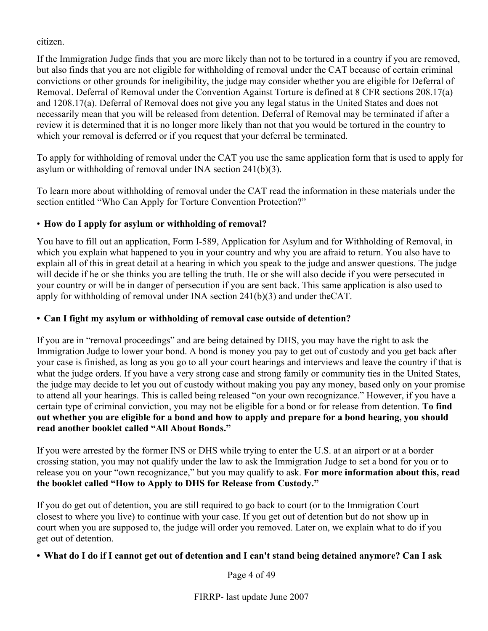citizen.

If the Immigration Judge finds that you are more likely than not to be tortured in a country if you are removed, but also finds that you are not eligible for withholding of removal under the CAT because of certain criminal convictions or other grounds for ineligibility, the judge may consider whether you are eligible for Deferral of Removal. Deferral of Removal under the Convention Against Torture is defined at 8 CFR sections 208.17(a) and 1208.17(a). Deferral of Removal does not give you any legal status in the United States and does not necessarily mean that you will be released from detention. Deferral of Removal may be terminated if after a review it is determined that it is no longer more likely than not that you would be tortured in the country to which your removal is deferred or if you request that your deferral be terminated.

To apply for withholding of removal under the CAT you use the same application form that is used to apply for asylum or withholding of removal under INA section 241(b)(3).

To learn more about withholding of removal under the CAT read the information in these materials under the section entitled "Who Can Apply for Torture Convention Protection?"

# • **How do I apply for asylum or withholding of removal?**

You have to fill out an application, Form I-589, Application for Asylum and for Withholding of Removal, in which you explain what happened to you in your country and why you are afraid to return. You also have to explain all of this in great detail at a hearing in which you speak to the judge and answer questions. The judge will decide if he or she thinks you are telling the truth. He or she will also decide if you were persecuted in your country or will be in danger of persecution if you are sent back. This same application is also used to apply for withholding of removal under INA section 241(b)(3) and under theCAT.

# **• Can I fight my asylum or withholding of removal case outside of detention?**

If you are in "removal proceedings" and are being detained by DHS, you may have the right to ask the Immigration Judge to lower your bond. A bond is money you pay to get out of custody and you get back after your case is finished, as long as you go to all your court hearings and interviews and leave the country if that is what the judge orders. If you have a very strong case and strong family or community ties in the United States, the judge may decide to let you out of custody without making you pay any money, based only on your promise to attend all your hearings. This is called being released "on your own recognizance." However, if you have a certain type of criminal conviction, you may not be eligible for a bond or for release from detention. **To find out whether you are eligible for a bond and how to apply and prepare for a bond hearing, you should read another booklet called "All About Bonds."** 

If you were arrested by the former INS or DHS while trying to enter the U.S. at an airport or at a border crossing station, you may not qualify under the law to ask the Immigration Judge to set a bond for you or to release you on your "own recognizance," but you may qualify to ask. **For more information about this, read the booklet called "How to Apply to DHS for Release from Custody."**

If you do get out of detention, you are still required to go back to court (or to the Immigration Court closest to where you live) to continue with your case. If you get out of detention but do not show up in court when you are supposed to, the judge will order you removed. Later on, we explain what to do if you get out of detention.

# **• What do I do if I cannot get out of detention and I can't stand being detained anymore? Can I ask**

Page 4 of 49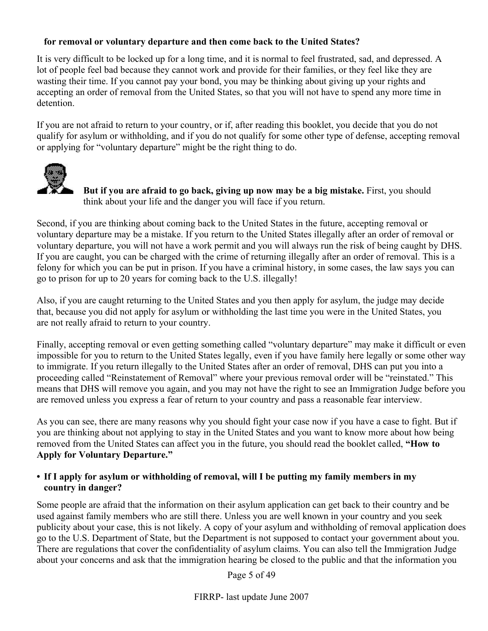### **for removal or voluntary departure and then come back to the United States?**

It is very difficult to be locked up for a long time, and it is normal to feel frustrated, sad, and depressed. A lot of people feel bad because they cannot work and provide for their families, or they feel like they are wasting their time. If you cannot pay your bond, you may be thinking about giving up your rights and accepting an order of removal from the United States, so that you will not have to spend any more time in detention.

If you are not afraid to return to your country, or if, after reading this booklet, you decide that you do not qualify for asylum or withholding, and if you do not qualify for some other type of defense, accepting removal or applying for "voluntary departure" might be the right thing to do.



 **But if you are afraid to go back, giving up now may be a big mistake.** First, you should think about your life and the danger you will face if you return.

Second, if you are thinking about coming back to the United States in the future, accepting removal or voluntary departure may be a mistake. If you return to the United States illegally after an order of removal or voluntary departure, you will not have a work permit and you will always run the risk of being caught by DHS. If you are caught, you can be charged with the crime of returning illegally after an order of removal. This is a felony for which you can be put in prison. If you have a criminal history, in some cases, the law says you can go to prison for up to 20 years for coming back to the U.S. illegally!

Also, if you are caught returning to the United States and you then apply for asylum, the judge may decide that, because you did not apply for asylum or withholding the last time you were in the United States, you are not really afraid to return to your country.

Finally, accepting removal or even getting something called "voluntary departure" may make it difficult or even impossible for you to return to the United States legally, even if you have family here legally or some other way to immigrate. If you return illegally to the United States after an order of removal, DHS can put you into a proceeding called "Reinstatement of Removal" where your previous removal order will be "reinstated." This means that DHS will remove you again, and you may not have the right to see an Immigration Judge before you are removed unless you express a fear of return to your country and pass a reasonable fear interview.

As you can see, there are many reasons why you should fight your case now if you have a case to fight. But if you are thinking about not applying to stay in the United States and you want to know more about how being removed from the United States can affect you in the future, you should read the booklet called, **"How to Apply for Voluntary Departure."**

#### **• If I apply for asylum or withholding of removal, will I be putting my family members in my country in danger?**

Some people are afraid that the information on their asylum application can get back to their country and be used against family members who are still there. Unless you are well known in your country and you seek publicity about your case, this is not likely. A copy of your asylum and withholding of removal application does go to the U.S. Department of State, but the Department is not supposed to contact your government about you. There are regulations that cover the confidentiality of asylum claims. You can also tell the Immigration Judge about your concerns and ask that the immigration hearing be closed to the public and that the information you

Page 5 of 49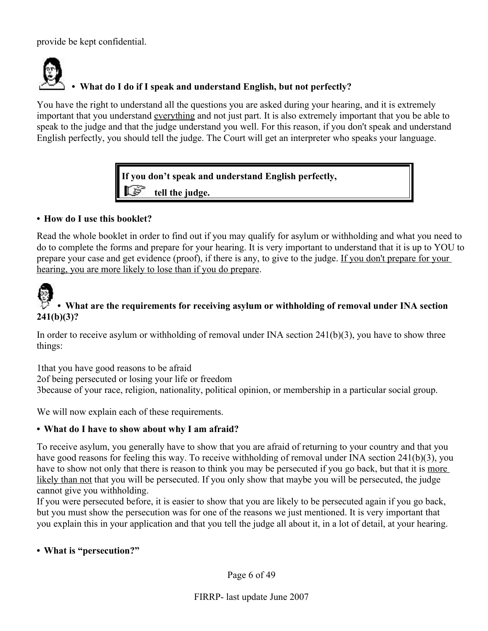provide be kept confidential.



# **• What do I do if I speak and understand English, but not perfectly?**

You have the right to understand all the questions you are asked during your hearing, and it is extremely important that you understand everything and not just part. It is also extremely important that you be able to speak to the judge and that the judge understand you well. For this reason, if you don't speak and understand English perfectly, you should tell the judge. The Court will get an interpreter who speaks your language.

**If you don't speak and understand English perfectly,** 

 **tell the judge.**

#### **• How do I use this booklet?**

Read the whole booklet in order to find out if you may qualify for asylum or withholding and what you need to do to complete the forms and prepare for your hearing. It is very important to understand that it is up to YOU to prepare your case and get evidence (proof), if there is any, to give to the judge. If you don't prepare for your hearing, you are more likely to lose than if you do prepare.



# **• What are the requirements for receiving asylum or withholding of removal under INA section 241(b)(3)?**

In order to receive asylum or withholding of removal under  $INA$  section  $241(b)(3)$ , you have to show three things:

1that you have good reasons to be afraid 2of being persecuted or losing your life or freedom 3because of your race, religion, nationality, political opinion, or membership in a particular social group.

We will now explain each of these requirements.

# **• What do I have to show about why I am afraid?**

To receive asylum, you generally have to show that you are afraid of returning to your country and that you have good reasons for feeling this way. To receive withholding of removal under INA section 241(b)(3), you have to show not only that there is reason to think you may be persecuted if you go back, but that it is more likely than not that you will be persecuted. If you only show that maybe you will be persecuted, the judge cannot give you withholding.

If you were persecuted before, it is easier to show that you are likely to be persecuted again if you go back, but you must show the persecution was for one of the reasons we just mentioned. It is very important that you explain this in your application and that you tell the judge all about it, in a lot of detail, at your hearing.

#### **• What is "persecution?"**

Page 6 of 49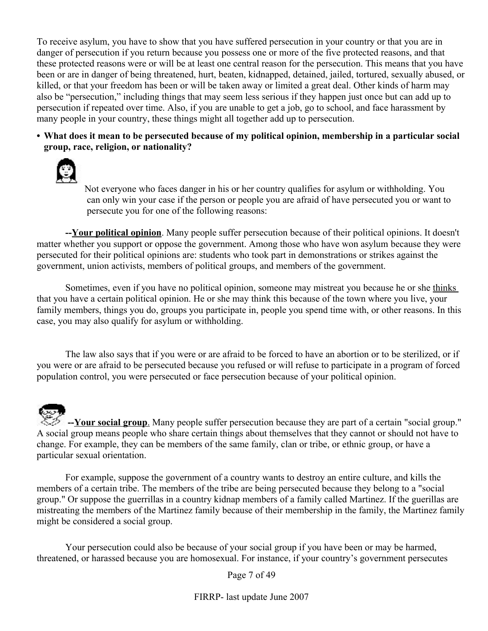To receive asylum, you have to show that you have suffered persecution in your country or that you are in danger of persecution if you return because you possess one or more of the five protected reasons, and that these protected reasons were or will be at least one central reason for the persecution. This means that you have been or are in danger of being threatened, hurt, beaten, kidnapped, detained, jailed, tortured, sexually abused, or killed, or that your freedom has been or will be taken away or limited a great deal. Other kinds of harm may also be "persecution," including things that may seem less serious if they happen just once but can add up to persecution if repeated over time. Also, if you are unable to get a job, go to school, and face harassment by many people in your country, these things might all together add up to persecution.

**• What does it mean to be persecuted because of my political opinion, membership in a particular social group, race, religion, or nationality?**



Not everyone who faces danger in his or her country qualifies for asylum or withholding. You can only win your case if the person or people you are afraid of have persecuted you or want to persecute you for one of the following reasons:

**--Your political opinion**. Many people suffer persecution because of their political opinions. It doesn't matter whether you support or oppose the government. Among those who have won asylum because they were persecuted for their political opinions are: students who took part in demonstrations or strikes against the government, union activists, members of political groups, and members of the government.

Sometimes, even if you have no political opinion, someone may mistreat you because he or she thinks that you have a certain political opinion. He or she may think this because of the town where you live, your family members, things you do, groups you participate in, people you spend time with, or other reasons. In this case, you may also qualify for asylum or withholding.

The law also says that if you were or are afraid to be forced to have an abortion or to be sterilized, or if you were or are afraid to be persecuted because you refused or will refuse to participate in a program of forced population control, you were persecuted or face persecution because of your political opinion.

**-- Your social group** . Many people suffer persecution because they are part of a certain "social group." A social group means people who share certain things about themselves that they cannot or should not have to change. For example, they can be members of the same family, clan or tribe, or ethnic group, or have a particular sexual orientation.

For example, suppose the government of a country wants to destroy an entire culture, and kills the members of a certain tribe. The members of the tribe are being persecuted because they belong to a "social group." Or suppose the guerrillas in a country kidnap members of a family called Martinez. If the guerillas are mistreating the members of the Martinez family because of their membership in the family, the Martinez family might be considered a social group.

Your persecution could also be because of your social group if you have been or may be harmed, threatened, or harassed because you are homosexual. For instance, if your country's government persecutes

Page 7 of 49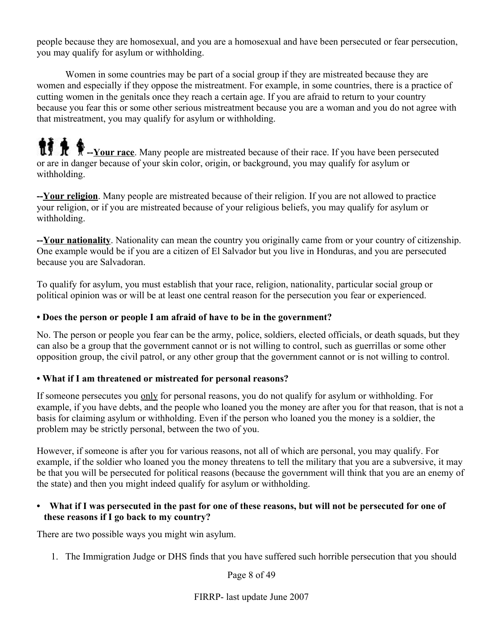people because they are homosexual, and you are a homosexual and have been persecuted or fear persecution, you may qualify for asylum or withholding.

Women in some countries may be part of a social group if they are mistreated because they are women and especially if they oppose the mistreatment. For example, in some countries, there is a practice of cutting women in the genitals once they reach a certain age. If you are afraid to return to your country because you fear this or some other serious mistreatment because you are a woman and you do not agree with that mistreatment, you may qualify for asylum or withholding.

**14 A** --Your race. Many people are mistreated because of their race. If you have been persecuted or are in danger because of your skin color, origin, or background, you may qualify for asylum or withholding.

**--Your religion**. Many people are mistreated because of their religion. If you are not allowed to practice your religion, or if you are mistreated because of your religious beliefs, you may qualify for asylum or withholding.

**--Your nationality**. Nationality can mean the country you originally came from or your country of citizenship. One example would be if you are a citizen of El Salvador but you live in Honduras, and you are persecuted because you are Salvadoran.

To qualify for asylum, you must establish that your race, religion, nationality, particular social group or political opinion was or will be at least one central reason for the persecution you fear or experienced.

#### **• Does the person or people I am afraid of have to be in the government?**

No. The person or people you fear can be the army, police, soldiers, elected officials, or death squads, but they can also be a group that the government cannot or is not willing to control, such as guerrillas or some other opposition group, the civil patrol, or any other group that the government cannot or is not willing to control.

#### **• What if I am threatened or mistreated for personal reasons?**

If someone persecutes you only for personal reasons, you do not qualify for asylum or withholding. For example, if you have debts, and the people who loaned you the money are after you for that reason, that is not a basis for claiming asylum or withholding. Even if the person who loaned you the money is a soldier, the problem may be strictly personal, between the two of you.

However, if someone is after you for various reasons, not all of which are personal, you may qualify. For example, if the soldier who loaned you the money threatens to tell the military that you are a subversive, it may be that you will be persecuted for political reasons (because the government will think that you are an enemy of the state) and then you might indeed qualify for asylum or withholding.

#### **• What if I was persecuted in the past for one of these reasons, but will not be persecuted for one of these reasons if I go back to my country?**

There are two possible ways you might win asylum.

1. The Immigration Judge or DHS finds that you have suffered such horrible persecution that you should

Page 8 of 49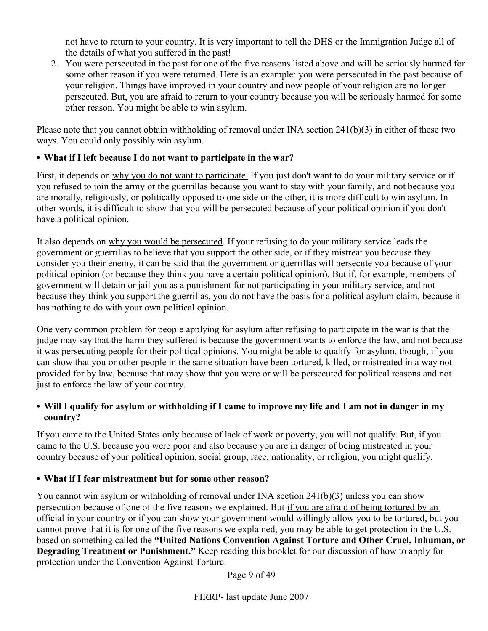not have to return to your country. It is very important to tell the DHS or the Immigration Judge all of the details of what you suffered in the past!

2. You were persecuted in the past for one of the five reasons listed above and will be seriously harmed for some other reason if you were returned. Here is an example: you were persecuted in the past because of your religion. Things have improved in your country and now people of your religion are no longer persecuted. But, you are afraid to return to your country because you will be seriously harmed for some other reason. You might be able to win asylum.

Please note that you cannot obtain withholding of removal under INA section 241(b)(3) in either of these two ways. You could only possibly win asylum.

# **• What if I left because I do not want to participate in the war?**

First, it depends on why you do not want to participate. If you just don't want to do your military service or if you refused to join the army or the guerrillas because you want to stay with your family, and not because you are morally, religiously, or politically opposed to one side or the other, it is more difficult to win asylum. In other words, it is difficult to show that you will be persecuted because of your political opinion if you don't have a political opinion.

It also depends on why you would be persecuted. If your refusing to do your military service leads the government or guerrillas to believe that you support the other side, or if they mistreat you because they consider you their enemy, it can be said that the government or guerrillas will persecute you because of your political opinion (or because they think you have a certain political opinion). But if, for example, members of government will detain or jail you as a punishment for not participating in your military service, and not because they think you support the guerrillas, you do not have the basis for a political asylum claim, because it has nothing to do with your own political opinion.

One very common problem for people applying for asylum after refusing to participate in the war is that the judge may say that the harm they suffered is because the government wants to enforce the law, and not because it was persecuting people for their political opinions. You might be able to qualify for asylum, though, if you can show that you or other people in the same situation have been tortured, killed, or mistreated in a way not provided for by law, because that may show that you were or will be persecuted for political reasons and not just to enforce the law of your country.

# **• Will I qualify for asylum or withholding if I came to improve my life and I am not in danger in my country?**

If you came to the United States only because of lack of work or poverty, you will not qualify. But, if you came to the U.S. because you were poor and also because you are in danger of being mistreated in your country because of your political opinion, social group, race, nationality, or religion, you might qualify.

# **• What if I fear mistreatment but for some other reason?**

You cannot win asylum or withholding of removal under INA section 241(b)(3) unless you can show persecution because of one of the five reasons we explained. But if you are afraid of being tortured by an official in your country or if you can show your government would willingly allow you to be tortured, but you cannot prove that it is for one of the five reasons we explained, you may be able to get protection in the U.S. based on something called the **"United Nations Convention Against Torture and Other Cruel, Inhuman, or Degrading Treatment or Punishment."** Keep reading this booklet for our discussion of how to apply for protection under the Convention Against Torture.

Page 9 of 49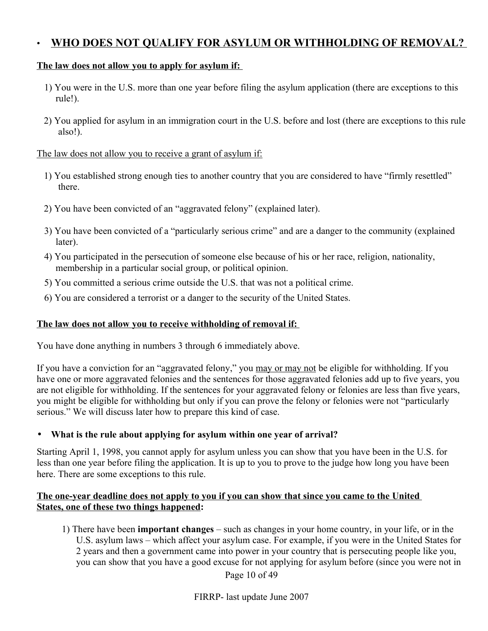# • **WHO DOES NOT QUALIFY FOR ASYLUM OR WITHHOLDING OF REMOVAL?**

#### **The law does not allow you to apply for asylum if:**

- 1) You were in the U.S. more than one year before filing the asylum application (there are exceptions to this rule!).
- 2) You applied for asylum in an immigration court in the U.S. before and lost (there are exceptions to this rule also!).

#### The law does not allow you to receive a grant of asylum if:

- 1) You established strong enough ties to another country that you are considered to have "firmly resettled" there.
- 2) You have been convicted of an "aggravated felony" (explained later).
- 3) You have been convicted of a "particularly serious crime" and are a danger to the community (explained later).
- 4) You participated in the persecution of someone else because of his or her race, religion, nationality, membership in a particular social group, or political opinion.
- 5) You committed a serious crime outside the U.S. that was not a political crime.
- 6) You are considered a terrorist or a danger to the security of the United States.

#### **The law does not allow you to receive withholding of removal if:**

You have done anything in numbers 3 through 6 immediately above.

If you have a conviction for an "aggravated felony," you may or may not be eligible for withholding. If you have one or more aggravated felonies and the sentences for those aggravated felonies add up to five years, you are not eligible for withholding. If the sentences for your aggravated felony or felonies are less than five years, you might be eligible for withholding but only if you can prove the felony or felonies were not "particularly serious." We will discuss later how to prepare this kind of case.

#### • **What is the rule about applying for asylum within one year of arrival?**

Starting April 1, 1998, you cannot apply for asylum unless you can show that you have been in the U.S. for less than one year before filing the application. It is up to you to prove to the judge how long you have been here. There are some exceptions to this rule.

#### **The one-year deadline does not apply to you if you can show that since you came to the United States, one of these two things happened:**

1) There have been **important changes** – such as changes in your home country, in your life, or in the U.S. asylum laws – which affect your asylum case. For example, if you were in the United States for 2 years and then a government came into power in your country that is persecuting people like you, you can show that you have a good excuse for not applying for asylum before (since you were not in

Page 10 of 49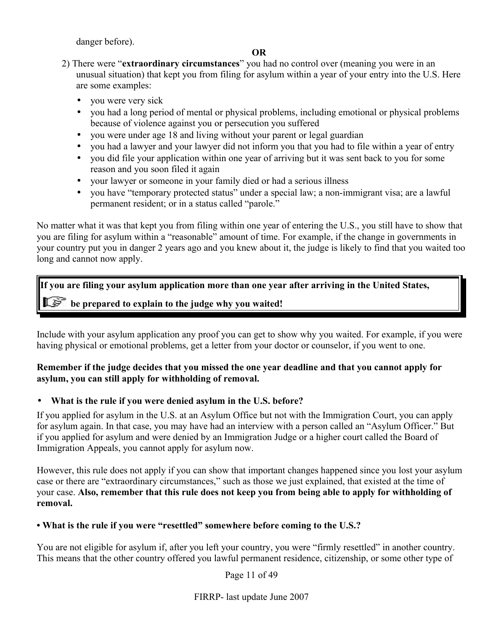danger before).

#### **OR**

2) There were "**extraordinary circumstances**" you had no control over (meaning you were in an unusual situation) that kept you from filing for asylum within a year of your entry into the U.S. Here are some examples:

- you were very sick
- you had a long period of mental or physical problems, including emotional or physical problems because of violence against you or persecution you suffered
- you were under age 18 and living without your parent or legal guardian
- you had a lawyer and your lawyer did not inform you that you had to file within a year of entry
- you did file your application within one year of arriving but it was sent back to you for some reason and you soon filed it again
- your lawyer or someone in your family died or had a serious illness
- you have "temporary protected status" under a special law; a non-immigrant visa; are a lawful permanent resident; or in a status called "parole."

No matter what it was that kept you from filing within one year of entering the U.S., you still have to show that you are filing for asylum within a "reasonable" amount of time. For example, if the change in governments in your country put you in danger 2 years ago and you knew about it, the judge is likely to find that you waited too long and cannot now apply.

# **If you are filing your asylum application more than one year after arriving in the United States, be prepared to explain to the judge why you waited!**

Include with your asylum application any proof you can get to show why you waited. For example, if you were having physical or emotional problems, get a letter from your doctor or counselor, if you went to one.

# **Remember if the judge decides that you missed the one year deadline and that you cannot apply for asylum, you can still apply for withholding of removal.**

# • **What is the rule if you were denied asylum in the U.S. before?**

If you applied for asylum in the U.S. at an Asylum Office but not with the Immigration Court, you can apply for asylum again. In that case, you may have had an interview with a person called an "Asylum Officer." But if you applied for asylum and were denied by an Immigration Judge or a higher court called the Board of Immigration Appeals, you cannot apply for asylum now.

However, this rule does not apply if you can show that important changes happened since you lost your asylum case or there are "extraordinary circumstances," such as those we just explained, that existed at the time of your case. **Also, remember that this rule does not keep you from being able to apply for withholding of removal.**

# **• What is the rule if you were "resettled" somewhere before coming to the U.S.?**

You are not eligible for asylum if, after you left your country, you were "firmly resettled" in another country. This means that the other country offered you lawful permanent residence, citizenship, or some other type of

Page 11 of 49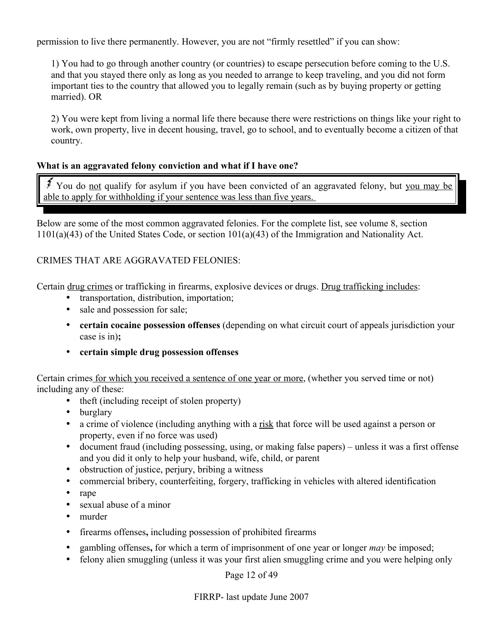permission to live there permanently. However, you are not "firmly resettled" if you can show:

1) You had to go through another country (or countries) to escape persecution before coming to the U.S. and that you stayed there only as long as you needed to arrange to keep traveling, and you did not form important ties to the country that allowed you to legally remain (such as by buying property or getting married). OR

2) You were kept from living a normal life there because there were restrictions on things like your right to work, own property, live in decent housing, travel, go to school, and to eventually become a citizen of that country.

#### **What is an aggravated felony conviction and what if I have one?**

You do not qualify for asylum if you have been convicted of an aggravated felony, but you may be able to apply for withholding if your sentence was less than five years.

Below are some of the most common aggravated felonies. For the complete list, see volume 8, section 1101(a)(43) of the United States Code, or section 101(a)(43) of the Immigration and Nationality Act.

#### CRIMES THAT ARE AGGRAVATED FELONIES:

Certain drug crimes or trafficking in firearms, explosive devices or drugs. Drug trafficking includes:

- transportation, distribution, importation;
- sale and possession for sale;
- **certain cocaine possession offenses** (depending on what circuit court of appeals jurisdiction your case is in)**;**
- **certain simple drug possession offenses**

Certain crimes for which you received a sentence of one year or more, (whether you served time or not) including any of these:

- theft (including receipt of stolen property)
- burglary
- a crime of violence (including anything with a <u>risk</u> that force will be used against a person or property, even if no force was used)
- document fraud (including possessing, using, or making false papers) unless it was a first offense and you did it only to help your husband, wife, child, or parent
- obstruction of justice, perjury, bribing a witness
- commercial bribery, counterfeiting, forgery, trafficking in vehicles with altered identification
- rape
- sexual abuse of a minor
- murder
- firearms offenses**,** including possession of prohibited firearms
- gambling offenses**,** for which a term of imprisonment of one year or longer *may* be imposed;
- felony alien smuggling (unless it was your first alien smuggling crime and you were helping only

Page 12 of 49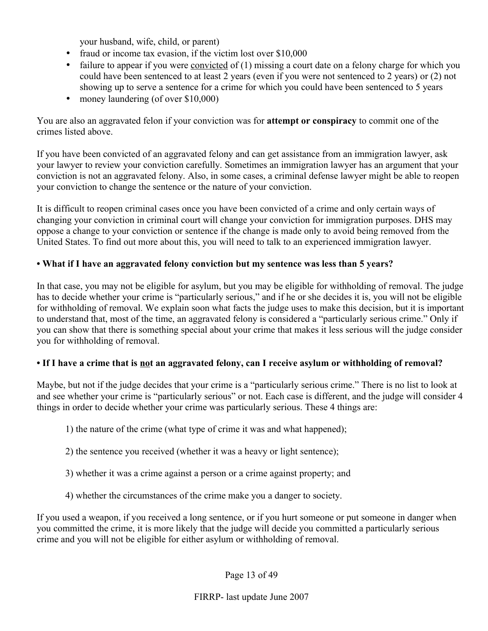your husband, wife, child, or parent)

- fraud or income tax evasion, if the victim lost over \$10,000
- failure to appear if you were convicted of  $(1)$  missing a court date on a felony charge for which you could have been sentenced to at least 2 years (even if you were not sentenced to 2 years) or (2) not showing up to serve a sentence for a crime for which you could have been sentenced to 5 years
- money laundering (of over \$10,000)

You are also an aggravated felon if your conviction was for **attempt or conspiracy** to commit one of the crimes listed above.

If you have been convicted of an aggravated felony and can get assistance from an immigration lawyer, ask your lawyer to review your conviction carefully. Sometimes an immigration lawyer has an argument that your conviction is not an aggravated felony. Also, in some cases, a criminal defense lawyer might be able to reopen your conviction to change the sentence or the nature of your conviction.

It is difficult to reopen criminal cases once you have been convicted of a crime and only certain ways of changing your conviction in criminal court will change your conviction for immigration purposes. DHS may oppose a change to your conviction or sentence if the change is made only to avoid being removed from the United States. To find out more about this, you will need to talk to an experienced immigration lawyer.

# **• What if I have an aggravated felony conviction but my sentence was less than 5 years?**

In that case, you may not be eligible for asylum, but you may be eligible for withholding of removal. The judge has to decide whether your crime is "particularly serious," and if he or she decides it is, you will not be eligible for withholding of removal. We explain soon what facts the judge uses to make this decision, but it is important to understand that, most of the time, an aggravated felony is considered a "particularly serious crime." Only if you can show that there is something special about your crime that makes it less serious will the judge consider you for withholding of removal.

# • If I have a crime that is <u>no</u>t an aggravated felony, can I receive asylum or withholding of removal?

Maybe, but not if the judge decides that your crime is a "particularly serious crime." There is no list to look at and see whether your crime is "particularly serious" or not. Each case is different, and the judge will consider 4 things in order to decide whether your crime was particularly serious. These 4 things are:

- 1) the nature of the crime (what type of crime it was and what happened);
- 2) the sentence you received (whether it was a heavy or light sentence);
- 3) whether it was a crime against a person or a crime against property; and
- 4) whether the circumstances of the crime make you a danger to society.

If you used a weapon, if you received a long sentence, or if you hurt someone or put someone in danger when you committed the crime, it is more likely that the judge will decide you committed a particularly serious crime and you will not be eligible for either asylum or withholding of removal.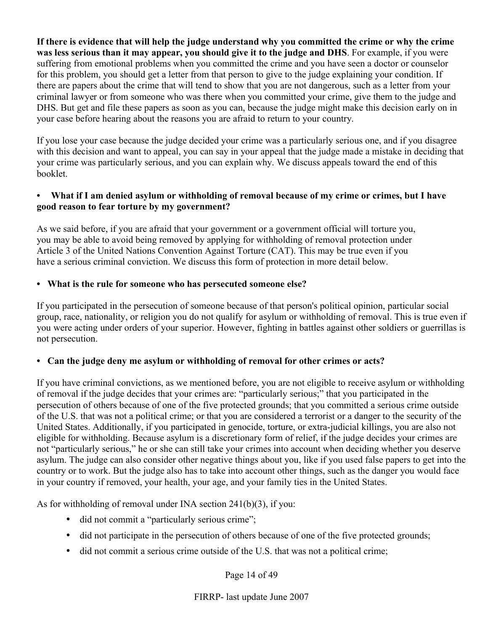**If there is evidence that will help the judge understand why you committed the crime or why the crime was less serious than it may appear, you should give it to the judge and DHS**. For example, if you were suffering from emotional problems when you committed the crime and you have seen a doctor or counselor for this problem, you should get a letter from that person to give to the judge explaining your condition. If there are papers about the crime that will tend to show that you are not dangerous, such as a letter from your criminal lawyer or from someone who was there when you committed your crime, give them to the judge and DHS. But get and file these papers as soon as you can, because the judge might make this decision early on in your case before hearing about the reasons you are afraid to return to your country.

If you lose your case because the judge decided your crime was a particularly serious one, and if you disagree with this decision and want to appeal, you can say in your appeal that the judge made a mistake in deciding that your crime was particularly serious, and you can explain why. We discuss appeals toward the end of this booklet.

#### **• What if I am denied asylum or withholding of removal because of my crime or crimes, but I have good reason to fear torture by my government?**

As we said before, if you are afraid that your government or a government official will torture you, you may be able to avoid being removed by applying for withholding of removal protection under Article 3 of the United Nations Convention Against Torture (CAT). This may be true even if you have a serious criminal conviction. We discuss this form of protection in more detail below.

#### **• What is the rule for someone who has persecuted someone else?**

If you participated in the persecution of someone because of that person's political opinion, particular social group, race, nationality, or religion you do not qualify for asylum or withholding of removal. This is true even if you were acting under orders of your superior. However, fighting in battles against other soldiers or guerrillas is not persecution.

#### **• Can the judge deny me asylum or withholding of removal for other crimes or acts?**

If you have criminal convictions, as we mentioned before, you are not eligible to receive asylum or withholding of removal if the judge decides that your crimes are: "particularly serious;" that you participated in the persecution of others because of one of the five protected grounds; that you committed a serious crime outside of the U.S. that was not a political crime; or that you are considered a terrorist or a danger to the security of the United States. Additionally, if you participated in genocide, torture, or extra-judicial killings, you are also not eligible for withholding. Because asylum is a discretionary form of relief, if the judge decides your crimes are not "particularly serious," he or she can still take your crimes into account when deciding whether you deserve asylum. The judge can also consider other negative things about you, like if you used false papers to get into the country or to work. But the judge also has to take into account other things, such as the danger you would face in your country if removed, your health, your age, and your family ties in the United States.

As for withholding of removal under INA section 241(b)(3), if you:

- did not commit a "particularly serious crime";
- did not participate in the persecution of others because of one of the five protected grounds;
- did not commit a serious crime outside of the U.S. that was not a political crime;

Page 14 of 49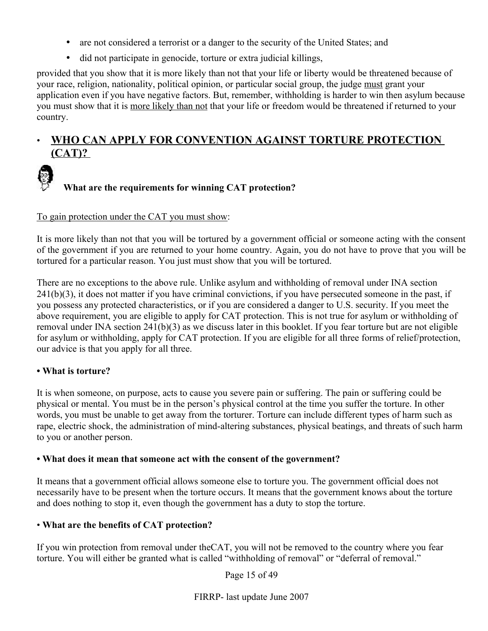- are not considered a terrorist or a danger to the security of the United States; and
- did not participate in genocide, torture or extra judicial killings,

provided that you show that it is more likely than not that your life or liberty would be threatened because of your race, religion, nationality, political opinion, or particular social group, the judge must grant your application even if you have negative factors. But, remember, withholding is harder to win then asylum because you must show that it is more likely than not that your life or freedom would be threatened if returned to your country.

# • **WHO CAN APPLY FOR CONVENTION AGAINST TORTURE PROTECTION (CAT)?**



#### To gain protection under the CAT you must show:

It is more likely than not that you will be tortured by a government official or someone acting with the consent of the government if you are returned to your home country. Again, you do not have to prove that you will be tortured for a particular reason. You just must show that you will be tortured.

There are no exceptions to the above rule. Unlike asylum and withholding of removal under INA section  $241(b)(3)$ , it does not matter if you have criminal convictions, if you have persecuted someone in the past, if you possess any protected characteristics, or if you are considered a danger to U.S. security. If you meet the above requirement, you are eligible to apply for CAT protection. This is not true for asylum or withholding of removal under INA section 241(b)(3) as we discuss later in this booklet. If you fear torture but are not eligible for asylum or withholding, apply for CAT protection. If you are eligible for all three forms of relief/protection, our advice is that you apply for all three.

# **• What is torture?**

It is when someone, on purpose, acts to cause you severe pain or suffering. The pain or suffering could be physical or mental. You must be in the person's physical control at the time you suffer the torture. In other words, you must be unable to get away from the torturer. Torture can include different types of harm such as rape, electric shock, the administration of mind-altering substances, physical beatings, and threats of such harm to you or another person.

#### **• What does it mean that someone act with the consent of the government?**

It means that a government official allows someone else to torture you. The government official does not necessarily have to be present when the torture occurs. It means that the government knows about the torture and does nothing to stop it, even though the government has a duty to stop the torture.

#### • **What are the benefits of CAT protection?**

If you win protection from removal under theCAT, you will not be removed to the country where you fear torture. You will either be granted what is called "withholding of removal" or "deferral of removal."

Page 15 of 49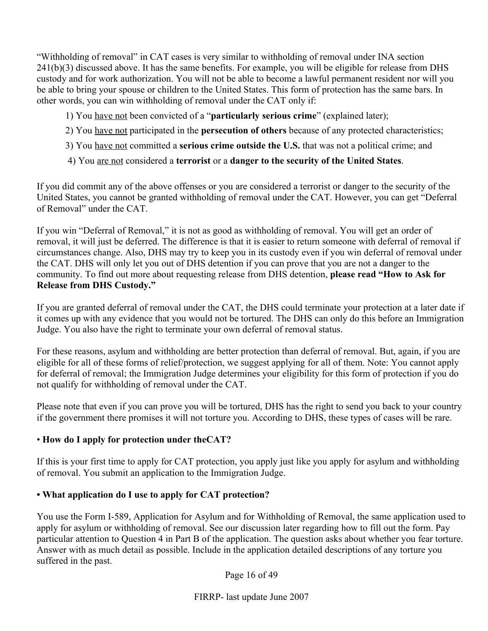"Withholding of removal" in CAT cases is very similar to withholding of removal under INA section  $241(b)(3)$  discussed above. It has the same benefits. For example, you will be eligible for release from DHS custody and for work authorization. You will not be able to become a lawful permanent resident nor will you be able to bring your spouse or children to the United States. This form of protection has the same bars. In other words, you can win withholding of removal under the CAT only if:

- 1) You have not been convicted of a "**particularly serious crime**" (explained later);
- 2) You have not participated in the **persecution of others** because of any protected characteristics;
- 3) You have not committed a **serious crime outside the U.S.** that was not a political crime; and
- 4) You are not considered a **terrorist** or a **danger to the security of the United States**.

If you did commit any of the above offenses or you are considered a terrorist or danger to the security of the United States, you cannot be granted withholding of removal under the CAT. However, you can get "Deferral of Removal" under the CAT.

If you win "Deferral of Removal," it is not as good as withholding of removal. You will get an order of removal, it will just be deferred. The difference is that it is easier to return someone with deferral of removal if circumstances change. Also, DHS may try to keep you in its custody even if you win deferral of removal under the CAT. DHS will only let you out of DHS detention if you can prove that you are not a danger to the community. To find out more about requesting release from DHS detention, **please read "How to Ask for Release from DHS Custody."**

If you are granted deferral of removal under the CAT, the DHS could terminate your protection at a later date if it comes up with any evidence that you would not be tortured. The DHS can only do this before an Immigration Judge. You also have the right to terminate your own deferral of removal status.

For these reasons, asylum and withholding are better protection than deferral of removal. But, again, if you are eligible for all of these forms of relief/protection, we suggest applying for all of them. Note: You cannot apply for deferral of removal; the Immigration Judge determines your eligibility for this form of protection if you do not qualify for withholding of removal under the CAT.

Please note that even if you can prove you will be tortured, DHS has the right to send you back to your country if the government there promises it will not torture you. According to DHS, these types of cases will be rare.

# • **How do I apply for protection under theCAT?**

If this is your first time to apply for CAT protection, you apply just like you apply for asylum and withholding of removal. You submit an application to the Immigration Judge.

# **• What application do I use to apply for CAT protection?**

You use the Form I-589, Application for Asylum and for Withholding of Removal, the same application used to apply for asylum or withholding of removal. See our discussion later regarding how to fill out the form. Pay particular attention to Question 4 in Part B of the application. The question asks about whether you fear torture. Answer with as much detail as possible. Include in the application detailed descriptions of any torture you suffered in the past.

Page 16 of 49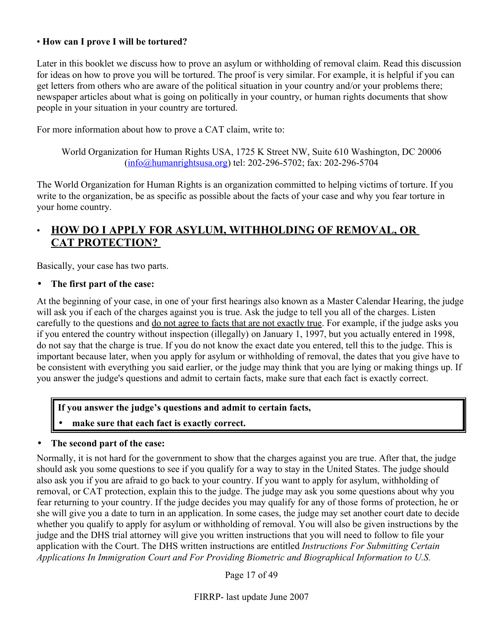# • **How can I prove I will be tortured?**

Later in this booklet we discuss how to prove an asylum or withholding of removal claim. Read this discussion for ideas on how to prove you will be tortured. The proof is very similar. For example, it is helpful if you can get letters from others who are aware of the political situation in your country and/or your problems there; newspaper articles about what is going on politically in your country, or human rights documents that show people in your situation in your country are tortured.

For more information about how to prove a CAT claim, write to:

World Organization for Human Rights USA, 1725 K Street NW, Suite 610 Washington, DC 20006 [\(info@humanrightsusa.org\)](mailto:info@humanrightsusa.org) tel: 202-296-5702; fax: 202-296-5704

The World Organization for Human Rights is an organization committed to helping victims of torture. If you write to the organization, be as specific as possible about the facts of your case and why you fear torture in your home country.

# • **HOW DO I APPLY FOR ASYLUM, WITHHOLDING OF REMOVAL, OR CAT PROTECTION?**

Basically, your case has two parts.

• **The first part of the case:**

At the beginning of your case, in one of your first hearings also known as a Master Calendar Hearing, the judge will ask you if each of the charges against you is true. Ask the judge to tell you all of the charges. Listen carefully to the questions and <u>do not agree to facts that are not exactly true</u>. For example, if the judge asks you if you entered the country without inspection (illegally) on January 1, 1997, but you actually entered in 1998, do not say that the charge is true. If you do not know the exact date you entered, tell this to the judge. This is important because later, when you apply for asylum or withholding of removal, the dates that you give have to be consistent with everything you said earlier, or the judge may think that you are lying or making things up. If you answer the judge's questions and admit to certain facts, make sure that each fact is exactly correct.

**If you answer the judge's questions and admit to certain facts,** 

• **make sure that each fact is exactly correct.**

# • **The second part of the case:**

Normally, it is not hard for the government to show that the charges against you are true. After that, the judge should ask you some questions to see if you qualify for a way to stay in the United States. The judge should also ask you if you are afraid to go back to your country. If you want to apply for asylum, withholding of removal, or CAT protection, explain this to the judge. The judge may ask you some questions about why you fear returning to your country. If the judge decides you may qualify for any of those forms of protection, he or she will give you a date to turn in an application. In some cases, the judge may set another court date to decide whether you qualify to apply for asylum or withholding of removal. You will also be given instructions by the judge and the DHS trial attorney will give you written instructions that you will need to follow to file your application with the Court. The DHS written instructions are entitled *Instructions For Submitting Certain Applications In Immigration Court and For Providing Biometric and Biographical Information to U.S.*

Page 17 of 49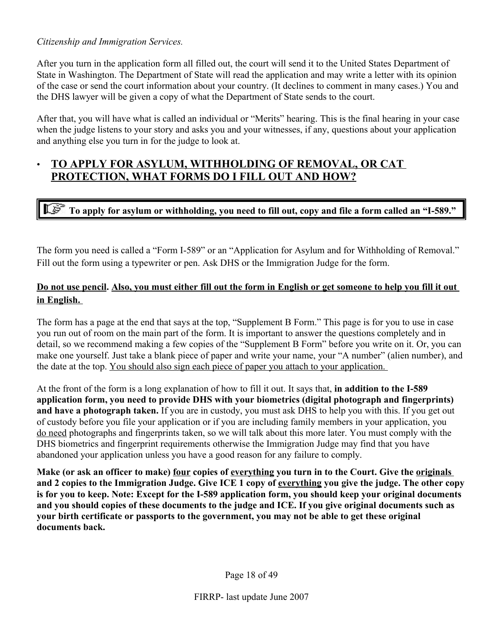#### *Citizenship and Immigration Services.*

After you turn in the application form all filled out, the court will send it to the United States Department of State in Washington. The Department of State will read the application and may write a letter with its opinion of the case or send the court information about your country. (It declines to comment in many cases.) You and the DHS lawyer will be given a copy of what the Department of State sends to the court.

After that, you will have what is called an individual or "Merits" hearing. This is the final hearing in your case when the judge listens to your story and asks you and your witnesses, if any, questions about your application and anything else you turn in for the judge to look at.

# • **TO APPLY FOR ASYLUM, WITHHOLDING OF REMOVAL, OR CAT PROTECTION, WHAT FORMS DO I FILL OUT AND HOW?**

**To apply for asylum or withholding, you need to fill out, copy and file a form called an "I-589."** 

The form you need is called a "Form I-589" or an "Application for Asylum and for Withholding of Removal." Fill out the form using a typewriter or pen. Ask DHS or the Immigration Judge for the form.

# **Do not use pencil. Also, you must either fill out the form in English or get someone to help you fill it out in English.**

The form has a page at the end that says at the top, "Supplement B Form." This page is for you to use in case you run out of room on the main part of the form. It is important to answer the questions completely and in detail, so we recommend making a few copies of the "Supplement B Form" before you write on it. Or, you can make one yourself. Just take a blank piece of paper and write your name, your "A number" (alien number), and the date at the top. You should also sign each piece of paper you attach to your application.

At the front of the form is a long explanation of how to fill it out. It says that, **in addition to the I-589 application form, you need to provide DHS with your biometrics (digital photograph and fingerprints) and have a photograph taken.** If you are in custody, you must ask DHS to help you with this. If you get out of custody before you file your application or if you are including family members in your application, you do need photographs and fingerprints taken, so we will talk about this more later. You must comply with the DHS biometrics and fingerprint requirements otherwise the Immigration Judge may find that you have abandoned your application unless you have a good reason for any failure to comply.

**Make (or ask an officer to make) four copies of everything you turn in to the Court. Give the originals and 2 copies to the Immigration Judge. Give ICE 1 copy of everything you give the judge. The other copy is for you to keep. Note: Except for the I-589 application form, you should keep your original documents and you should copies of these documents to the judge and ICE. If you give original documents such as your birth certificate or passports to the government, you may not be able to get these original documents back.**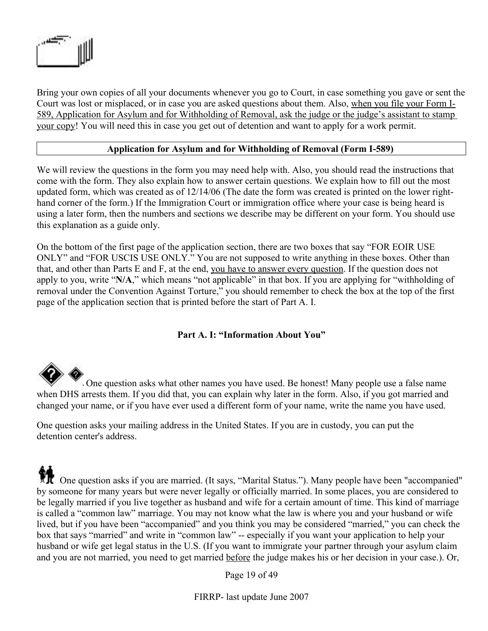

Bring your own copies of all your documents whenever you go to Court, in case something you gave or sent the Court was lost or misplaced, or in case you are asked questions about them. Also, when you file your Form I-589, Application for Asylum and for Withholding of Removal, ask the judge or the judge's assistant to stamp your copy! You will need this in case you get out of detention and want to apply for a work permit.

#### **Application for Asylum and for Withholding of Removal (Form I-589)**

We will review the questions in the form you may need help with. Also, you should read the instructions that come with the form. They also explain how to answer certain questions. We explain how to fill out the most updated form, which was created as of 12/14/06 (The date the form was created is printed on the lower righthand corner of the form.) If the Immigration Court or immigration office where your case is being heard is using a later form, then the numbers and sections we describe may be different on your form. You should use this explanation as a guide only.

On the bottom of the first page of the application section, there are two boxes that say "FOR EOIR USE ONLY" and "FOR USCIS USE ONLY." You are not supposed to write anything in these boxes. Other than that, and other than Parts E and F, at the end, you have to answer every question. If the question does not apply to you, write "**N/A**," which means "not applicable" in that box. If you are applying for "withholding of removal under the Convention Against Torture," you should remember to check the box at the top of the first page of the application section that is printed before the start of Part A. I.

#### **Part A. I: "Information About You"**

 One question asks what other names you have used. Be honest! Many people use a false name when DHS arrests them. If you did that, you can explain why later in the form. Also, if you got married and changed your name, or if you have ever used a different form of your name, write the name you have used.

One question asks your mailing address in the United States. If you are in custody, you can put the detention center's address.

 One question asks if you are married. (It says, "Marital Status."). Many people have been "accompanied" by someone for many years but were never legally or officially married. In some places, you are considered to be legally married if you live together as husband and wife for a certain amount of time. This kind of marriage is called a "common law" marriage. You may not know what the law is where you and your husband or wife lived, but if you have been "accompanied" and you think you may be considered "married," you can check the box that says "married" and write in "common law" -- especially if you want your application to help your husband or wife get legal status in the U.S. (If you want to immigrate your partner through your asylum claim and you are not married, you need to get married before the judge makes his or her decision in your case.). Or,

Page 19 of 49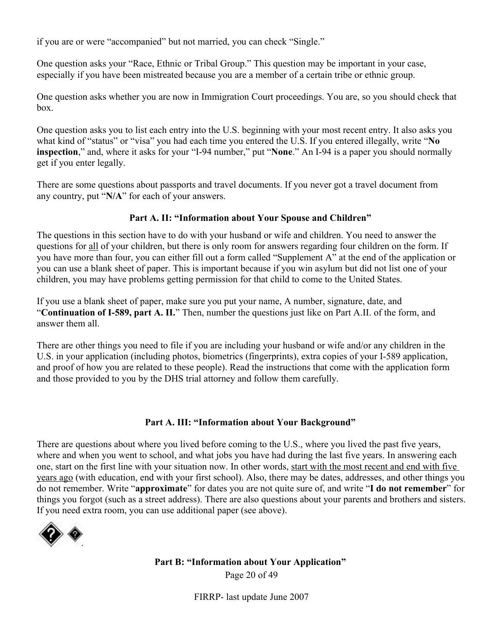if you are or were "accompanied" but not married, you can check "Single."

One question asks your "Race, Ethnic or Tribal Group." This question may be important in your case, especially if you have been mistreated because you are a member of a certain tribe or ethnic group.

One question asks whether you are now in Immigration Court proceedings. You are, so you should check that box.

One question asks you to list each entry into the U.S. beginning with your most recent entry. It also asks you what kind of "status" or "visa" you had each time you entered the U.S. If you entered illegally, write "**No inspection**," and, where it asks for your "I-94 number," put "**None**." An I-94 is a paper you should normally get if you enter legally.

There are some questions about passports and travel documents. If you never got a travel document from any country, put "**N/A**" for each of your answers.

# **Part A. II: "Information about Your Spouse and Children"**

The questions in this section have to do with your husband or wife and children. You need to answer the questions for all of your children, but there is only room for answers regarding four children on the form. If you have more than four, you can either fill out a form called "Supplement A" at the end of the application or you can use a blank sheet of paper. This is important because if you win asylum but did not list one of your children, you may have problems getting permission for that child to come to the United States.

If you use a blank sheet of paper, make sure you put your name, A number, signature, date, and "**Continuation of I-589, part A. II.**" Then, number the questions just like on Part A.II. of the form, and answer them all.

There are other things you need to file if you are including your husband or wife and/or any children in the U.S. in your application (including photos, biometrics (fingerprints), extra copies of your I-589 application, and proof of how you are related to these people). Read the instructions that come with the application form and those provided to you by the DHS trial attorney and follow them carefully.

#### **Part A. III: "Information about Your Background"**

There are questions about where you lived before coming to the U.S., where you lived the past five years, where and when you went to school, and what jobs you have had during the last five years. In answering each one, start on the first line with your situation now. In other words, start with the most recent and end with five years ago (with education, end with your first school). Also, there may be dates, addresses, and other things you do not remember. Write "**approximate**" for dates you are not quite sure of, and write "**I do not remember**" for things you forgot (such as a street address). There are also questions about your parents and brothers and sisters. If you need extra room, you can use additional paper (see above).



**Part B: "Information about Your Application"** Page 20 of 49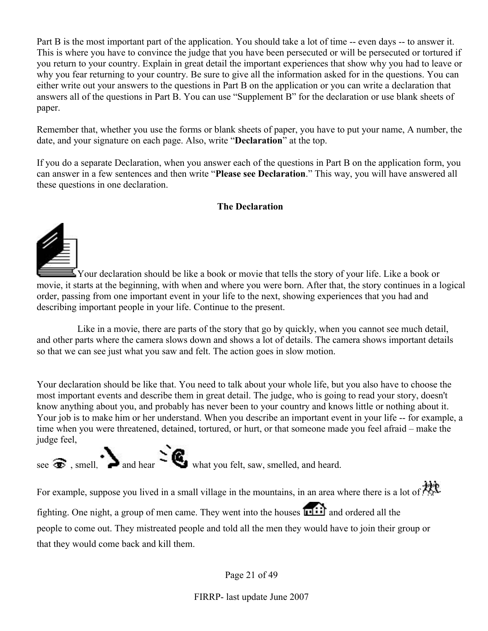Part B is the most important part of the application. You should take a lot of time -- even days -- to answer it. This is where you have to convince the judge that you have been persecuted or will be persecuted or tortured if you return to your country. Explain in great detail the important experiences that show why you had to leave or why you fear returning to your country. Be sure to give all the information asked for in the questions. You can either write out your answers to the questions in Part B on the application or you can write a declaration that answers all of the questions in Part B. You can use "Supplement B" for the declaration or use blank sheets of paper.

Remember that, whether you use the forms or blank sheets of paper, you have to put your name, A number, the date, and your signature on each page. Also, write "**Declaration**" at the top.

If you do a separate Declaration, when you answer each of the questions in Part B on the application form, you can answer in a few sentences and then write "**Please see Declaration**." This way, you will have answered all these questions in one declaration.

#### **The Declaration**



 $\mathbf{I}$  Your declaration should be like a book or movie that tells the story of your life. Like a book or movie, it starts at the beginning, with when and where you were born. After that, the story continues in a logical order, passing from one important event in your life to the next, showing experiences that you had and describing important people in your life. Continue to the present.

Like in a movie, there are parts of the story that go by quickly, when you cannot see much detail, and other parts where the camera slows down and shows a lot of details. The camera shows important details so that we can see just what you saw and felt. The action goes in slow motion.

Your declaration should be like that. You need to talk about your whole life, but you also have to choose the most important events and describe them in great detail. The judge, who is going to read your story, doesn't know anything about you, and probably has never been to your country and knows little or nothing about it. Your job is to make him or her understand. When you describe an important event in your life -- for example, a time when you were threatened, detained, tortured, or hurt, or that someone made you feel afraid – make the judge feel,

see  $\odot$ , smell, and hear  $\gtrsim$  and heard.

For example, suppose you lived in a small village in the mountains, in an area where there is a lot of the fighting. One night, a group of men came. They went into the houses **and** and ordered all the people to come out. They mistreated people and told all the men they would have to join their group or that they would come back and kill them.

Page 21 of 49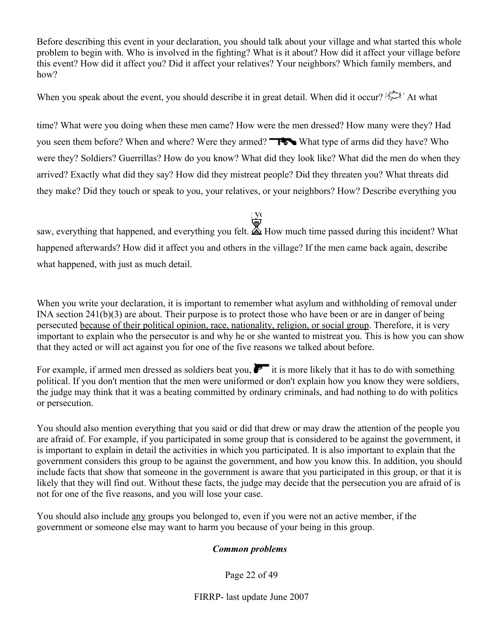Before describing this event in your declaration, you should talk about your village and what started this whole problem to begin with. Who is involved in the fighting? What is it about? How did it affect your village before this event? How did it affect you? Did it affect your relatives? Your neighbors? Which family members, and how?

When you speak about the event, you should describe it in great detail. When did it occur?  $\mathbb{R}^3$  At what

time? What were you doing when these men came? How were the men dressed? How many were they? Had you seen them before? When and where? Were they armed? **Whenere** What type of arms did they have? Who were they? Soldiers? Guerrillas? How do you know? What did they look like? What did the men do when they arrived? Exactly what did they say? How did they mistreat people? Did they threaten you? What threats did they make? Did they touch or speak to you, your relatives, or your neighbors? How? Describe everything you

saw, everything that happened, and everything you felt.  $\overline{\bullet}$  How much time passed during this incident? What happened afterwards? How did it affect you and others in the village? If the men came back again, describe what happened, with just as much detail.

When you write your declaration, it is important to remember what asylum and withholding of removal under INA section 241(b)(3) are about. Their purpose is to protect those who have been or are in danger of being persecuted because of their political opinion, race, nationality, religion, or social group. Therefore, it is very important to explain who the persecutor is and why he or she wanted to mistreat you. This is how you can show that they acted or will act against you for one of the five reasons we talked about before.

For example, if armed men dressed as soldiers beat you,  $\mathbf{F}$  it is more likely that it has to do with something political. If you don't mention that the men were uniformed or don't explain how you know they were soldiers, the judge may think that it was a beating committed by ordinary criminals, and had nothing to do with politics or persecution.

You should also mention everything that you said or did that drew or may draw the attention of the people you are afraid of. For example, if you participated in some group that is considered to be against the government, it is important to explain in detail the activities in which you participated. It is also important to explain that the government considers this group to be against the government, and how you know this. In addition, you should include facts that show that someone in the government is aware that you participated in this group, or that it is likely that they will find out. Without these facts, the judge may decide that the persecution you are afraid of is not for one of the five reasons, and you will lose your case.

You should also include any groups you belonged to, even if you were not an active member, if the government or someone else may want to harm you because of your being in this group.

# *Common problems*

Page 22 of 49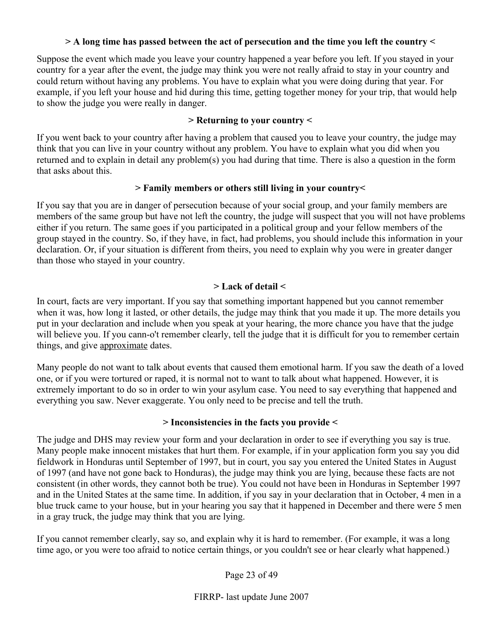#### **> A long time has passed between the act of persecution and the time you left the country <**

Suppose the event which made you leave your country happened a year before you left. If you stayed in your country for a year after the event, the judge may think you were not really afraid to stay in your country and could return without having any problems. You have to explain what you were doing during that year. For example, if you left your house and hid during this time, getting together money for your trip, that would help to show the judge you were really in danger.

#### **> Returning to your country <**

If you went back to your country after having a problem that caused you to leave your country, the judge may think that you can live in your country without any problem. You have to explain what you did when you returned and to explain in detail any problem(s) you had during that time. There is also a question in the form that asks about this.

#### **> Family members or others still living in your country<**

If you say that you are in danger of persecution because of your social group, and your family members are members of the same group but have not left the country, the judge will suspect that you will not have problems either if you return. The same goes if you participated in a political group and your fellow members of the group stayed in the country. So, if they have, in fact, had problems, you should include this information in your declaration. Or, if your situation is different from theirs, you need to explain why you were in greater danger than those who stayed in your country.

# **> Lack of detail <**

In court, facts are very important. If you say that something important happened but you cannot remember when it was, how long it lasted, or other details, the judge may think that you made it up. The more details you put in your declaration and include when you speak at your hearing, the more chance you have that the judge will believe you. If you cann-o't remember clearly, tell the judge that it is difficult for you to remember certain things, and give approximate dates.

Many people do not want to talk about events that caused them emotional harm. If you saw the death of a loved one, or if you were tortured or raped, it is normal not to want to talk about what happened. However, it is extremely important to do so in order to win your asylum case. You need to say everything that happened and everything you saw. Never exaggerate. You only need to be precise and tell the truth.

#### **> Inconsistencies in the facts you provide <**

The judge and DHS may review your form and your declaration in order to see if everything you say is true. Many people make innocent mistakes that hurt them. For example, if in your application form you say you did fieldwork in Honduras until September of 1997, but in court, you say you entered the United States in August of 1997 (and have not gone back to Honduras), the judge may think you are lying, because these facts are not consistent (in other words, they cannot both be true). You could not have been in Honduras in September 1997 and in the United States at the same time. In addition, if you say in your declaration that in October, 4 men in a blue truck came to your house, but in your hearing you say that it happened in December and there were 5 men in a gray truck, the judge may think that you are lying.

If you cannot remember clearly, say so, and explain why it is hard to remember. (For example, it was a long time ago, or you were too afraid to notice certain things, or you couldn't see or hear clearly what happened.)

Page 23 of 49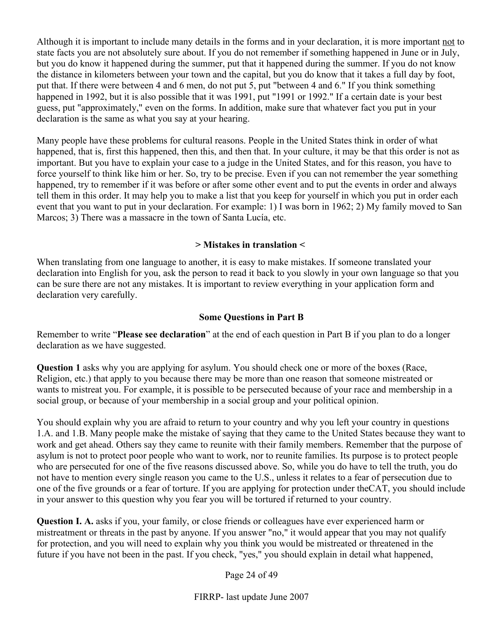Although it is important to include many details in the forms and in your declaration, it is more important not to state facts you are not absolutely sure about. If you do not remember if something happened in June or in July, but you do know it happened during the summer, put that it happened during the summer. If you do not know the distance in kilometers between your town and the capital, but you do know that it takes a full day by foot, put that. If there were between 4 and 6 men, do not put 5, put "between 4 and 6." If you think something happened in 1992, but it is also possible that it was 1991, put "1991 or 1992." If a certain date is your best guess, put "approximately," even on the forms. In addition, make sure that whatever fact you put in your declaration is the same as what you say at your hearing.

Many people have these problems for cultural reasons. People in the United States think in order of what happened, that is, first this happened, then this, and then that. In your culture, it may be that this order is not as important. But you have to explain your case to a judge in the United States, and for this reason, you have to force yourself to think like him or her. So, try to be precise. Even if you can not remember the year something happened, try to remember if it was before or after some other event and to put the events in order and always tell them in this order. It may help you to make a list that you keep for yourself in which you put in order each event that you want to put in your declaration. For example: 1) I was born in 1962; 2) My family moved to San Marcos; 3) There was a massacre in the town of Santa Lucía, etc.

#### **> Mistakes in translation <**

When translating from one language to another, it is easy to make mistakes. If someone translated your declaration into English for you, ask the person to read it back to you slowly in your own language so that you can be sure there are not any mistakes. It is important to review everything in your application form and declaration very carefully.

#### **Some Questions in Part B**

Remember to write "**Please see declaration**" at the end of each question in Part B if you plan to do a longer declaration as we have suggested.

**Question 1** asks why you are applying for asylum. You should check one or more of the boxes (Race, Religion, etc.) that apply to you because there may be more than one reason that someone mistreated or wants to mistreat you. For example, it is possible to be persecuted because of your race and membership in a social group, or because of your membership in a social group and your political opinion.

You should explain why you are afraid to return to your country and why you left your country in questions 1.A. and 1.B. Many people make the mistake of saying that they came to the United States because they want to work and get ahead. Others say they came to reunite with their family members. Remember that the purpose of asylum is not to protect poor people who want to work, nor to reunite families. Its purpose is to protect people who are persecuted for one of the five reasons discussed above. So, while you do have to tell the truth, you do not have to mention every single reason you came to the U.S., unless it relates to a fear of persecution due to one of the five grounds or a fear of torture. If you are applying for protection under theCAT, you should include in your answer to this question why you fear you will be tortured if returned to your country.

**Question I. A.** asks if you, your family, or close friends or colleagues have ever experienced harm or mistreatment or threats in the past by anyone. If you answer "no," it would appear that you may not qualify for protection, and you will need to explain why you think you would be mistreated or threatened in the future if you have not been in the past. If you check, "yes," you should explain in detail what happened,

Page 24 of 49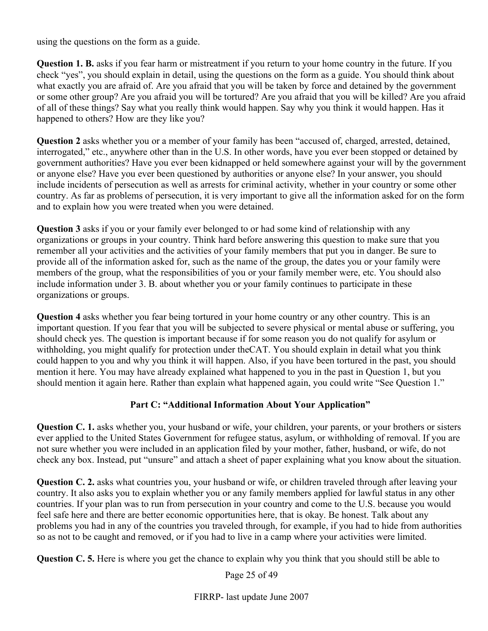using the questions on the form as a guide.

**Question 1. B.** asks if you fear harm or mistreatment if you return to your home country in the future. If you check "yes", you should explain in detail, using the questions on the form as a guide. You should think about what exactly you are afraid of. Are you afraid that you will be taken by force and detained by the government or some other group? Are you afraid you will be tortured? Are you afraid that you will be killed? Are you afraid of all of these things? Say what you really think would happen. Say why you think it would happen. Has it happened to others? How are they like you?

**Question 2** asks whether you or a member of your family has been "accused of, charged, arrested, detained, interrogated," etc., anywhere other than in the U.S. In other words, have you ever been stopped or detained by government authorities? Have you ever been kidnapped or held somewhere against your will by the government or anyone else? Have you ever been questioned by authorities or anyone else? In your answer, you should include incidents of persecution as well as arrests for criminal activity, whether in your country or some other country. As far as problems of persecution, it is very important to give all the information asked for on the form and to explain how you were treated when you were detained.

**Question 3** asks if you or your family ever belonged to or had some kind of relationship with any organizations or groups in your country. Think hard before answering this question to make sure that you remember all your activities and the activities of your family members that put you in danger. Be sure to provide all of the information asked for, such as the name of the group, the dates you or your family were members of the group, what the responsibilities of you or your family member were, etc. You should also include information under 3. B. about whether you or your family continues to participate in these organizations or groups.

**Question 4** asks whether you fear being tortured in your home country or any other country. This is an important question. If you fear that you will be subjected to severe physical or mental abuse or suffering, you should check yes. The question is important because if for some reason you do not qualify for asylum or withholding, you might qualify for protection under theCAT. You should explain in detail what you think could happen to you and why you think it will happen. Also, if you have been tortured in the past, you should mention it here. You may have already explained what happened to you in the past in Question 1, but you should mention it again here. Rather than explain what happened again, you could write "See Question 1."

#### **Part C: "Additional Information About Your Application"**

**Question C. 1.** asks whether you, your husband or wife, your children, your parents, or your brothers or sisters ever applied to the United States Government for refugee status, asylum, or withholding of removal. If you are not sure whether you were included in an application filed by your mother, father, husband, or wife, do not check any box. Instead, put "unsure" and attach a sheet of paper explaining what you know about the situation.

**Question C. 2.** asks what countries you, your husband or wife, or children traveled through after leaving your country. It also asks you to explain whether you or any family members applied for lawful status in any other countries. If your plan was to run from persecution in your country and come to the U.S. because you would feel safe here and there are better economic opportunities here, that is okay. Be honest. Talk about any problems you had in any of the countries you traveled through, for example, if you had to hide from authorities so as not to be caught and removed, or if you had to live in a camp where your activities were limited.

**Question C. 5.** Here is where you get the chance to explain why you think that you should still be able to

Page 25 of 49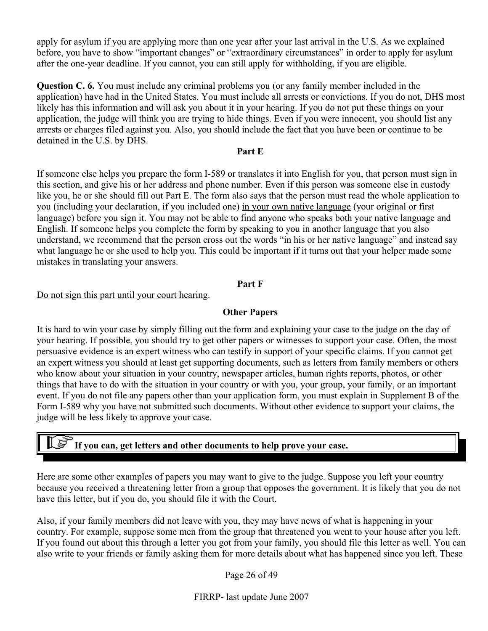apply for asylum if you are applying more than one year after your last arrival in the U.S. As we explained before, you have to show "important changes" or "extraordinary circumstances" in order to apply for asylum after the one-year deadline. If you cannot, you can still apply for withholding, if you are eligible.

**Question C. 6.** You must include any criminal problems you (or any family member included in the application) have had in the United States. You must include all arrests or convictions. If you do not, DHS most likely has this information and will ask you about it in your hearing. If you do not put these things on your application, the judge will think you are trying to hide things. Even if you were innocent, you should list any arrests or charges filed against you. Also, you should include the fact that you have been or continue to be detained in the U.S. by DHS.

#### **Part E**

If someone else helps you prepare the form I-589 or translates it into English for you, that person must sign in this section, and give his or her address and phone number. Even if this person was someone else in custody like you, he or she should fill out Part E. The form also says that the person must read the whole application to you (including your declaration, if you included one) in your own native language (your original or first language) before you sign it. You may not be able to find anyone who speaks both your native language and English. If someone helps you complete the form by speaking to you in another language that you also understand, we recommend that the person cross out the words "in his or her native language" and instead say what language he or she used to help you. This could be important if it turns out that your helper made some mistakes in translating your answers.

#### **Part F**

#### Do not sign this part until your court hearing.

#### **Other Papers**

It is hard to win your case by simply filling out the form and explaining your case to the judge on the day of your hearing. If possible, you should try to get other papers or witnesses to support your case. Often, the most persuasive evidence is an expert witness who can testify in support of your specific claims. If you cannot get an expert witness you should at least get supporting documents, such as letters from family members or others who know about your situation in your country, newspaper articles, human rights reports, photos, or other things that have to do with the situation in your country or with you, your group, your family, or an important event. If you do not file any papers other than your application form, you must explain in Supplement B of the Form I-589 why you have not submitted such documents. Without other evidence to support your claims, the judge will be less likely to approve your case.

# **If you can, get letters and other documents to help prove your case.**

Here are some other examples of papers you may want to give to the judge. Suppose you left your country because you received a threatening letter from a group that opposes the government. It is likely that you do not have this letter, but if you do, you should file it with the Court.

Also, if your family members did not leave with you, they may have news of what is happening in your country. For example, suppose some men from the group that threatened you went to your house after you left. If you found out about this through a letter you got from your family, you should file this letter as well. You can also write to your friends or family asking them for more details about what has happened since you left. These

Page 26 of 49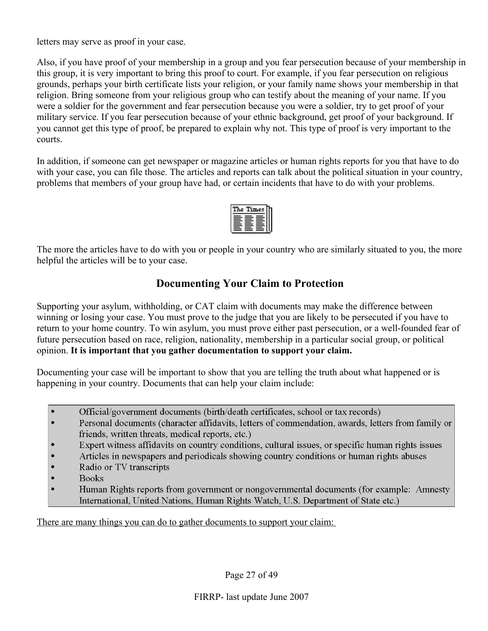letters may serve as proof in your case.

Also, if you have proof of your membership in a group and you fear persecution because of your membership in this group, it is very important to bring this proof to court. For example, if you fear persecution on religious grounds, perhaps your birth certificate lists your religion, or your family name shows your membership in that religion. Bring someone from your religious group who can testify about the meaning of your name. If you were a soldier for the government and fear persecution because you were a soldier, try to get proof of your military service. If you fear persecution because of your ethnic background, get proof of your background. If you cannot get this type of proof, be prepared to explain why not. This type of proof is very important to the courts.

In addition, if someone can get newspaper or magazine articles or human rights reports for you that have to do with your case, you can file those. The articles and reports can talk about the political situation in your country, problems that members of your group have had, or certain incidents that have to do with your problems.



The more the articles have to do with you or people in your country who are similarly situated to you, the more helpful the articles will be to your case.

# **Documenting Your Claim to Protection**

Supporting your asylum, withholding, or CAT claim with documents may make the difference between winning or losing your case. You must prove to the judge that you are likely to be persecuted if you have to return to your home country. To win asylum, you must prove either past persecution, or a well-founded fear of future persecution based on race, religion, nationality, membership in a particular social group, or political opinion. **It is important that you gather documentation to support your claim.**

Documenting your case will be important to show that you are telling the truth about what happened or is happening in your country. Documents that can help your claim include:

- $\bullet$ Official/government documents (birth/death certificates, school or tax records)
- Personal documents (character affidavits, letters of commendation, awards, letters from family or friends, written threats, medical reports, etc.)
- Expert witness affidavits on country conditions, cultural issues, or specific human rights issues
- Articles in newspapers and periodicals showing country conditions or human rights abuses
- Radio or TV transcripts
- **Books**
- Human Rights reports from government or nongovernmental documents (for example: Amnesty International, United Nations, Human Rights Watch, U.S. Department of State etc.)

There are many things you can do to gather documents to support your claim: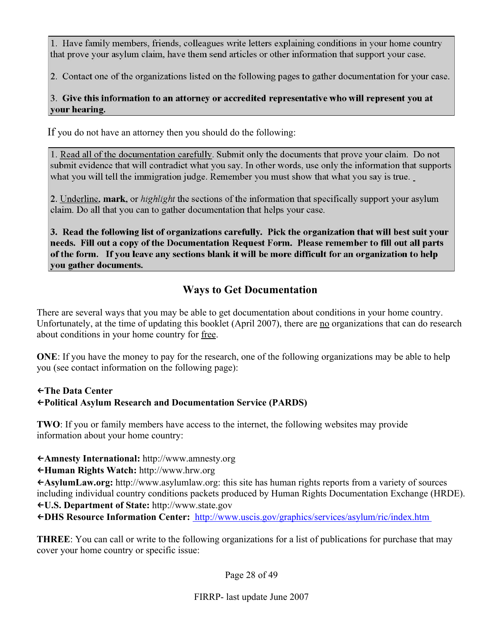1. Have family members, friends, colleagues write letters explaining conditions in your home country that prove your asylum claim, have them send articles or other information that support your case.

2. Contact one of the organizations listed on the following pages to gather documentation for your case.

# 3. Give this information to an attorney or accredited representative who will represent you at your hearing.

If you do not have an attorney then you should do the following:

1. Read all of the documentation carefully. Submit only the documents that prove your claim. Do not submit evidence that will contradict what you say. In other words, use only the information that supports what you will tell the immigration judge. Remember you must show that what you say is true.

2. Underline, mark, or *highlight* the sections of the information that specifically support your asylum claim. Do all that you can to gather documentation that helps your case.

3. Read the following list of organizations carefully. Pick the organization that will best suit your needs. Fill out a copy of the Documentation Request Form. Please remember to fill out all parts of the form. If you leave any sections blank it will be more difficult for an organization to help you gather documents.

# **Ways to Get Documentation**

There are several ways that you may be able to get documentation about conditions in your home country. Unfortunately, at the time of updating this booklet (April 2007), there are no organizations that can do research about conditions in your home country for free.

**ONE**: If you have the money to pay for the research, one of the following organizations may be able to help you (see contact information on the following page):

#### ←**The Data Center**  ←**Political Asylum Research and Documentation Service (PARDS)**

**TWO**: If you or family members have access to the internet, the following websites may provide information about your home country:

←**Amnesty International:** http://www.amnesty.org

←**Human Rights Watch:** http://www.hrw.org

←**AsylumLaw.org:** http://www.asylumlaw.org: this site has human rights reports from a variety of sources including individual country conditions packets produced by Human Rights Documentation Exchange (HRDE). ←**U.S. Department of State:** http://www.state.gov

←**DHS Resource Information Center:** [http://www.uscis.gov/graphics/services/asylum/ric/index.htm](file:///C:/Documents and Settings/User/Local Settings/Temporary Internet Files/Content.IE5/6MM9KVAR/ http://www.uscis.gov/graphics/services/asylum/ric/index.htm )

**THREE**: You can call or write to the following organizations for a list of publications for purchase that may cover your home country or specific issue:

Page 28 of 49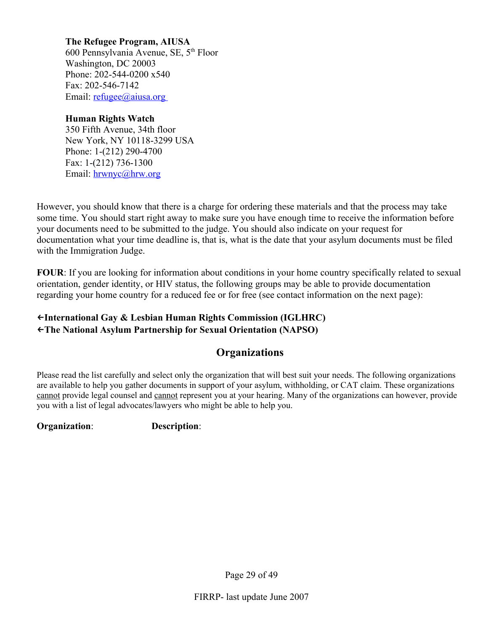**The Refugee Program, AIUSA**  600 Pennsylvania Avenue, SE, 5th Floor Washington, DC 20003 Phone: 202-544-0200 x540 Fax: 202-546-7142 Email:  $refuge@aiusa.org$ 

#### **Human Rights Watch**

350 Fifth Avenue, 34th floor New York, NY 10118-3299 USA Phone: 1-(212) 290-4700 Fax: 1-(212) 736-1300 Email: [hrwnyc@hrw.org](mailto:hrwnyc@hrw.org)

However, you should know that there is a charge for ordering these materials and that the process may take some time. You should start right away to make sure you have enough time to receive the information before your documents need to be submitted to the judge. You should also indicate on your request for documentation what your time deadline is, that is, what is the date that your asylum documents must be filed with the Immigration Judge.

**FOUR**: If you are looking for information about conditions in your home country specifically related to sexual orientation, gender identity, or HIV status, the following groups may be able to provide documentation regarding your home country for a reduced fee or for free (see contact information on the next page):

# ←**International Gay & Lesbian Human Rights Commission (IGLHRC)**

←**The National Asylum Partnership for Sexual Orientation (NAPSO)** 

# **Organizations**

Please read the list carefully and select only the organization that will best suit your needs. The following organizations are available to help you gather documents in support of your asylum, withholding, or CAT claim. These organizations cannot provide legal counsel and cannot represent you at your hearing. Many of the organizations can however, provide you with a list of legal advocates/lawyers who might be able to help you.

**Organization**: **Description**:

Page 29 of 49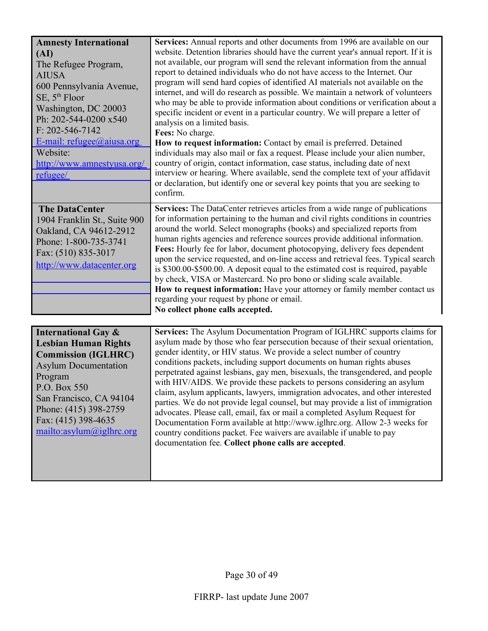| <b>Amnesty International</b><br>(AI)<br>The Refugee Program,<br><b>AIUSA</b><br>600 Pennsylvania Avenue,<br>$SE$ , $5th$ Floor<br>Washington, DC 20003<br>Ph: 202-544-0200 x540<br>$F: 202 - 546 - 7142$<br>E-mail: $refuge@aiusa.org$<br>Website:<br>http://www.amnestyusa.org/ | Services: Annual reports and other documents from 1996 are available on our<br>website. Detention libraries should have the current year's annual report. If it is<br>not available, our program will send the relevant information from the annual<br>report to detained individuals who do not have access to the Internet. Our<br>program will send hard copies of identified AI materials not available on the<br>internet, and will do research as possible. We maintain a network of volunteers<br>who may be able to provide information about conditions or verification about a<br>specific incident or event in a particular country. We will prepare a letter of<br>analysis on a limited basis.<br>Fees: No charge.<br>How to request information: Contact by email is preferred. Detained<br>individuals may also mail or fax a request. Please include your alien number,<br>country of origin, contact information, case status, including date of next |
|----------------------------------------------------------------------------------------------------------------------------------------------------------------------------------------------------------------------------------------------------------------------------------|------------------------------------------------------------------------------------------------------------------------------------------------------------------------------------------------------------------------------------------------------------------------------------------------------------------------------------------------------------------------------------------------------------------------------------------------------------------------------------------------------------------------------------------------------------------------------------------------------------------------------------------------------------------------------------------------------------------------------------------------------------------------------------------------------------------------------------------------------------------------------------------------------------------------------------------------------------------------|
| refugee/                                                                                                                                                                                                                                                                         | interview or hearing. Where available, send the complete text of your affidavit<br>or declaration, but identify one or several key points that you are seeking to<br>confirm.                                                                                                                                                                                                                                                                                                                                                                                                                                                                                                                                                                                                                                                                                                                                                                                          |
| <b>The DataCenter</b><br>1904 Franklin St., Suite 900<br>Oakland, CA 94612-2912<br>Phone: 1-800-735-3741<br>Fax: (510) 835-3017<br>http://www.datacenter.org                                                                                                                     | Services: The DataCenter retrieves articles from a wide range of publications<br>for information pertaining to the human and civil rights conditions in countries<br>around the world. Select monographs (books) and specialized reports from<br>human rights agencies and reference sources provide additional information.<br>Fees: Hourly fee for labor, document photocopying, delivery fees dependent<br>upon the service requested, and on-line access and retrieval fees. Typical search<br>is \$300.00-\$500.00. A deposit equal to the estimated cost is required, payable<br>by check, VISA or Mastercard. No pro bono or sliding scale available.<br>How to request information: Have your attorney or family member contact us<br>regarding your request by phone or email.<br>No collect phone calls accepted.                                                                                                                                            |
| International $C_{3V}$ $\&$                                                                                                                                                                                                                                                      | <b>Services:</b> The Asylum Documentation Program of IGLHRC supports claims for                                                                                                                                                                                                                                                                                                                                                                                                                                                                                                                                                                                                                                                                                                                                                                                                                                                                                        |

| Services: The Asylum Documentation Program of IGLHRC supports claims for                                                                                                                                                                                                                                                                                                                                                                                                                                                                                                                                                                                                                                                |
|-------------------------------------------------------------------------------------------------------------------------------------------------------------------------------------------------------------------------------------------------------------------------------------------------------------------------------------------------------------------------------------------------------------------------------------------------------------------------------------------------------------------------------------------------------------------------------------------------------------------------------------------------------------------------------------------------------------------------|
| asylum made by those who fear persecution because of their sexual orientation,                                                                                                                                                                                                                                                                                                                                                                                                                                                                                                                                                                                                                                          |
| gender identity, or HIV status. We provide a select number of country<br>conditions packets, including support documents on human rights abuses<br>perpetrated against lesbians, gay men, bisexuals, the transgendered, and people<br>with HIV/AIDS. We provide these packets to persons considering an asylum<br>claim, asylum applicants, lawyers, immigration advocates, and other interested<br>parties. We do not provide legal counsel, but may provide a list of immigration<br>advocates. Please call, email, fax or mail a completed Asylum Request for<br>Documentation Form available at http://www.iglhrc.org. Allow 2-3 weeks for<br>country conditions packet. Fee waivers are available if unable to pay |
| documentation fee. Collect phone calls are accepted.                                                                                                                                                                                                                                                                                                                                                                                                                                                                                                                                                                                                                                                                    |
|                                                                                                                                                                                                                                                                                                                                                                                                                                                                                                                                                                                                                                                                                                                         |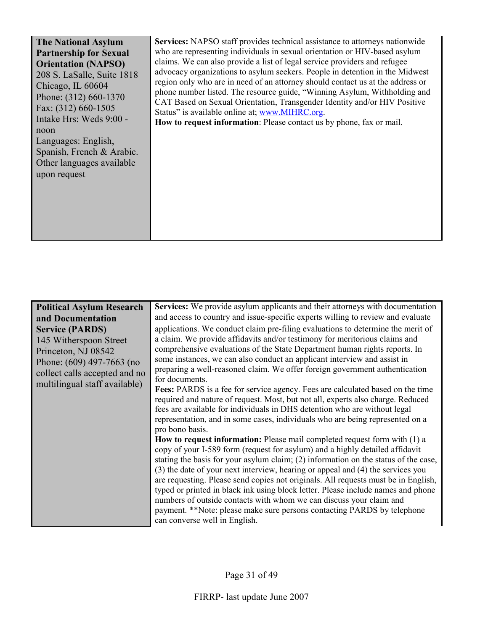| <b>The National Asylum</b>                                                                                                                               | Services: NAPSO staff provides technical assistance to attorneys nationwide                                                                                                                                                                                                                                                                                                                                                                             |
|----------------------------------------------------------------------------------------------------------------------------------------------------------|---------------------------------------------------------------------------------------------------------------------------------------------------------------------------------------------------------------------------------------------------------------------------------------------------------------------------------------------------------------------------------------------------------------------------------------------------------|
| <b>Partnership for Sexual</b>                                                                                                                            | who are representing individuals in sexual orientation or HIV-based asylum                                                                                                                                                                                                                                                                                                                                                                              |
| <b>Orientation (NAPSO)</b><br>208 S. LaSalle, Suite 1818<br>Chicago, IL 60604<br>Phone: (312) 660-1370<br>Fax: (312) 660-1505<br>Intake Hrs: Weds 9:00 - | claims. We can also provide a list of legal service providers and refugee<br>advocacy organizations to asylum seekers. People in detention in the Midwest<br>region only who are in need of an attorney should contact us at the address or<br>phone number listed. The resource guide, "Winning Asylum, Withholding and<br>CAT Based on Sexual Orientation, Transgender Identity and/or HIV Positive<br>Status" is available online at; www.MIHRC.org. |
| noon<br>Languages: English,<br>Spanish, French & Arabic.                                                                                                 | How to request information: Please contact us by phone, fax or mail.                                                                                                                                                                                                                                                                                                                                                                                    |
| Other languages available<br>upon request                                                                                                                |                                                                                                                                                                                                                                                                                                                                                                                                                                                         |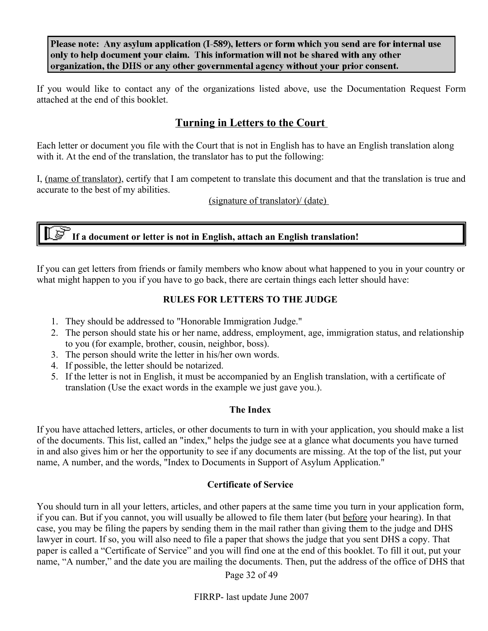Please note: Any asylum application (I-589), letters or form which you send are for internal use only to help document your claim. This information will not be shared with any other organization, the DHS or any other governmental agency without your prior consent.

If you would like to contact any of the organizations listed above, use the Documentation Request Form attached at the end of this booklet.

# **Turning in Letters to the Court**

Each letter or document you file with the Court that is not in English has to have an English translation along with it. At the end of the translation, the translator has to put the following:

I, (name of translator), certify that I am competent to translate this document and that the translation is true and accurate to the best of my abilities.

(signature of translator)/ (date)

# **If a document or letter is not in English, attach an English translation!**

If you can get letters from friends or family members who know about what happened to you in your country or what might happen to you if you have to go back, there are certain things each letter should have:

# **RULES FOR LETTERS TO THE JUDGE**

- 1. They should be addressed to "Honorable Immigration Judge."
- 2. The person should state his or her name, address, employment, age, immigration status, and relationship to you (for example, brother, cousin, neighbor, boss).
- 3. The person should write the letter in his/her own words.
- 4. If possible, the letter should be notarized.
- 5. If the letter is not in English, it must be accompanied by an English translation, with a certificate of translation (Use the exact words in the example we just gave you.).

# **The Index**

If you have attached letters, articles, or other documents to turn in with your application, you should make a list of the documents. This list, called an "index," helps the judge see at a glance what documents you have turned in and also gives him or her the opportunity to see if any documents are missing. At the top of the list, put your name, A number, and the words, "Index to Documents in Support of Asylum Application."

#### **Certificate of Service**

You should turn in all your letters, articles, and other papers at the same time you turn in your application form, if you can. But if you cannot, you will usually be allowed to file them later (but before your hearing). In that case, you may be filing the papers by sending them in the mail rather than giving them to the judge and DHS lawyer in court. If so, you will also need to file a paper that shows the judge that you sent DHS a copy. That paper is called a "Certificate of Service" and you will find one at the end of this booklet. To fill it out, put your name, "A number," and the date you are mailing the documents. Then, put the address of the office of DHS that

Page 32 of 49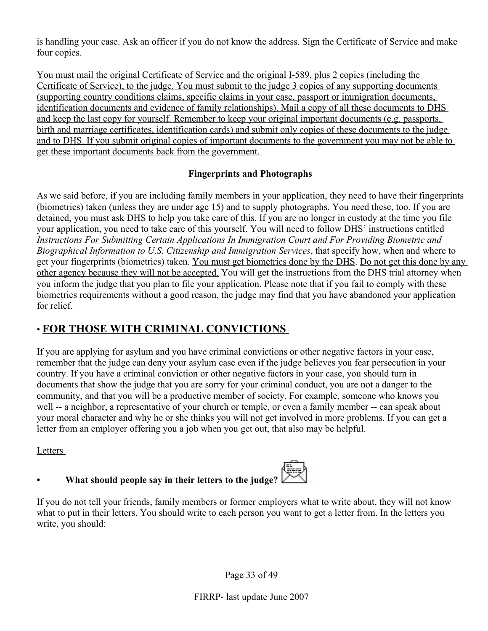is handling your case. Ask an officer if you do not know the address. Sign the Certificate of Service and make four copies.

You must mail the original Certificate of Service and the original I-589, plus 2 copies (including the Certificate of Service), to the judge. You must submit to the judge 3 copies of any supporting documents (supporting country conditions claims, specific claims in your case, passport or immigration documents, identification documents and evidence of family relationships). Mail a copy of all these documents to DHS and keep the last copy for yourself. Remember to keep your original important documents (e.g. passports, birth and marriage certificates, identification cards) and submit only copies of these documents to the judge and to DHS. If you submit original copies of important documents to the government you may not be able to get these important documents back from the government.

#### **Fingerprints and Photographs**

As we said before, if you are including family members in your application, they need to have their fingerprints (biometrics) taken (unless they are under age 15) and to supply photographs. You need these, too. If you are detained, you must ask DHS to help you take care of this. If you are no longer in custody at the time you file your application, you need to take care of this yourself. You will need to follow DHS' instructions entitled *Instructions For Submitting Certain Applications In Immigration Court and For Providing Biometric and Biographical Information to U.S. Citizenship and Immigration Services*, that specify how, when and where to get your fingerprints (biometrics) taken. You must get biometrics done by the DHS. Do not get this done by any other agency because they will not be accepted. You will get the instructions from the DHS trial attorney when you inform the judge that you plan to file your application. Please note that if you fail to comply with these biometrics requirements without a good reason, the judge may find that you have abandoned your application for relief.

# • **FOR THOSE WITH CRIMINAL CONVICTIONS**

If you are applying for asylum and you have criminal convictions or other negative factors in your case, remember that the judge can deny your asylum case even if the judge believes you fear persecution in your country. If you have a criminal conviction or other negative factors in your case, you should turn in documents that show the judge that you are sorry for your criminal conduct, you are not a danger to the community, and that you will be a productive member of society. For example, someone who knows you well -- a neighbor, a representative of your church or temple, or even a family member -- can speak about your moral character and why he or she thinks you will not get involved in more problems. If you can get a letter from an employer offering you a job when you get out, that also may be helpful.

#### Letters

# **• What should people say in their letters to the judge?**



If you do not tell your friends, family members or former employers what to write about, they will not know what to put in their letters. You should write to each person you want to get a letter from. In the letters you write, you should: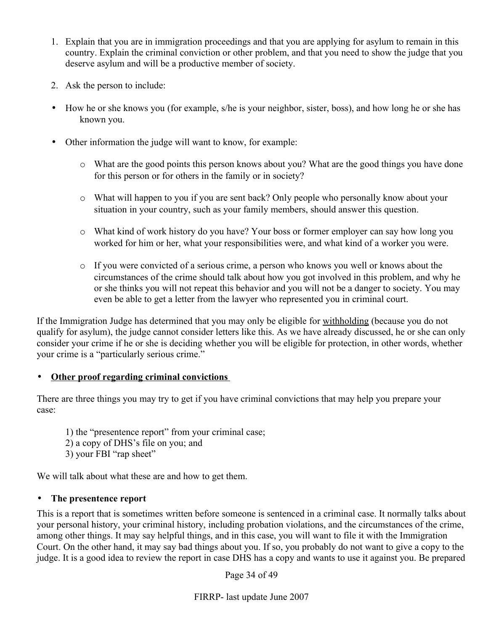- 1. Explain that you are in immigration proceedings and that you are applying for asylum to remain in this country. Explain the criminal conviction or other problem, and that you need to show the judge that you deserve asylum and will be a productive member of society.
- 2. Ask the person to include:
- How he or she knows you (for example, s/he is your neighbor, sister, boss), and how long he or she has known you.
- Other information the judge will want to know, for example:
	- o What are the good points this person knows about you? What are the good things you have done for this person or for others in the family or in society?
	- o What will happen to you if you are sent back? Only people who personally know about your situation in your country, such as your family members, should answer this question.
	- o What kind of work history do you have? Your boss or former employer can say how long you worked for him or her, what your responsibilities were, and what kind of a worker you were.
	- o If you were convicted of a serious crime, a person who knows you well or knows about the circumstances of the crime should talk about how you got involved in this problem, and why he or she thinks you will not repeat this behavior and you will not be a danger to society. You may even be able to get a letter from the lawyer who represented you in criminal court.

If the Immigration Judge has determined that you may only be eligible for withholding (because you do not qualify for asylum), the judge cannot consider letters like this. As we have already discussed, he or she can only consider your crime if he or she is deciding whether you will be eligible for protection, in other words, whether your crime is a "particularly serious crime."

# • **Other proof regarding criminal convictions**

There are three things you may try to get if you have criminal convictions that may help you prepare your case:

- 1) the "presentence report" from your criminal case;
- 2) a copy of DHS's file on you; and
- 3) your FBI "rap sheet"

We will talk about what these are and how to get them.

# • **The presentence report**

This is a report that is sometimes written before someone is sentenced in a criminal case. It normally talks about your personal history, your criminal history, including probation violations, and the circumstances of the crime, among other things. It may say helpful things, and in this case, you will want to file it with the Immigration Court. On the other hand, it may say bad things about you. If so, you probably do not want to give a copy to the judge. It is a good idea to review the report in case DHS has a copy and wants to use it against you. Be prepared

Page 34 of 49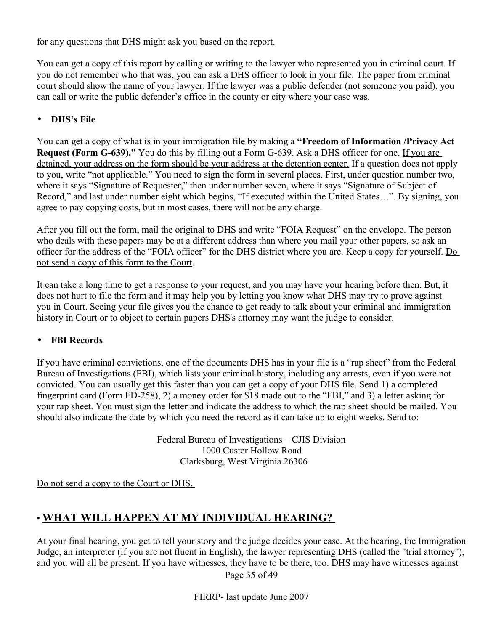for any questions that DHS might ask you based on the report.

You can get a copy of this report by calling or writing to the lawyer who represented you in criminal court. If you do not remember who that was, you can ask a DHS officer to look in your file. The paper from criminal court should show the name of your lawyer. If the lawyer was a public defender (not someone you paid), you can call or write the public defender's office in the county or city where your case was.

# • **DHS's File**

You can get a copy of what is in your immigration file by making a **"Freedom of Information /Privacy Act Request (Form G-639)."** You do this by filling out a Form G-639. Ask a DHS officer for one. If you are detained, your address on the form should be your address at the detention center. If a question does not apply to you, write "not applicable." You need to sign the form in several places. First, under question number two, where it says "Signature of Requester," then under number seven, where it says "Signature of Subject of Record," and last under number eight which begins, "If executed within the United States…". By signing, you agree to pay copying costs, but in most cases, there will not be any charge.

After you fill out the form, mail the original to DHS and write "FOIA Request" on the envelope. The person who deals with these papers may be at a different address than where you mail your other papers, so ask an officer for the address of the "FOIA officer" for the DHS district where you are. Keep a copy for yourself. Do not send a copy of this form to the Court.

It can take a long time to get a response to your request, and you may have your hearing before then. But, it does not hurt to file the form and it may help you by letting you know what DHS may try to prove against you in Court. Seeing your file gives you the chance to get ready to talk about your criminal and immigration history in Court or to object to certain papers DHS's attorney may want the judge to consider.

# • **FBI Records**

If you have criminal convictions, one of the documents DHS has in your file is a "rap sheet" from the Federal Bureau of Investigations (FBI), which lists your criminal history, including any arrests, even if you were not convicted. You can usually get this faster than you can get a copy of your DHS file. Send 1) a completed fingerprint card (Form FD-258), 2) a money order for \$18 made out to the "FBI," and 3) a letter asking for your rap sheet. You must sign the letter and indicate the address to which the rap sheet should be mailed. You should also indicate the date by which you need the record as it can take up to eight weeks. Send to:

> Federal Bureau of Investigations – CJIS Division 1000 Custer Hollow Road Clarksburg, West Virginia 26306

Do not send a copy to the Court or DHS.

# • **WHAT WILL HAPPEN AT MY INDIVIDUAL HEARING?**

At your final hearing, you get to tell your story and the judge decides your case. At the hearing, the Immigration Judge, an interpreter (if you are not fluent in English), the lawyer representing DHS (called the "trial attorney"), and you will all be present. If you have witnesses, they have to be there, too. DHS may have witnesses against

Page 35 of 49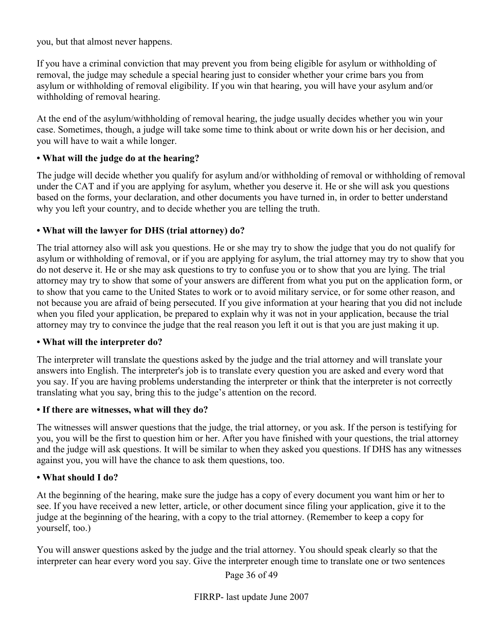you, but that almost never happens.

If you have a criminal conviction that may prevent you from being eligible for asylum or withholding of removal, the judge may schedule a special hearing just to consider whether your crime bars you from asylum or withholding of removal eligibility. If you win that hearing, you will have your asylum and/or withholding of removal hearing.

At the end of the asylum/withholding of removal hearing, the judge usually decides whether you win your case. Sometimes, though, a judge will take some time to think about or write down his or her decision, and you will have to wait a while longer.

#### **• What will the judge do at the hearing?**

The judge will decide whether you qualify for asylum and/or withholding of removal or withholding of removal under the CAT and if you are applying for asylum, whether you deserve it. He or she will ask you questions based on the forms, your declaration, and other documents you have turned in, in order to better understand why you left your country, and to decide whether you are telling the truth.

#### **• What will the lawyer for DHS (trial attorney) do?**

The trial attorney also will ask you questions. He or she may try to show the judge that you do not qualify for asylum or withholding of removal, or if you are applying for asylum, the trial attorney may try to show that you do not deserve it. He or she may ask questions to try to confuse you or to show that you are lying. The trial attorney may try to show that some of your answers are different from what you put on the application form, or to show that you came to the United States to work or to avoid military service, or for some other reason, and not because you are afraid of being persecuted. If you give information at your hearing that you did not include when you filed your application, be prepared to explain why it was not in your application, because the trial attorney may try to convince the judge that the real reason you left it out is that you are just making it up.

#### **• What will the interpreter do?**

The interpreter will translate the questions asked by the judge and the trial attorney and will translate your answers into English. The interpreter's job is to translate every question you are asked and every word that you say. If you are having problems understanding the interpreter or think that the interpreter is not correctly translating what you say, bring this to the judge's attention on the record.

#### **• If there are witnesses, what will they do?**

The witnesses will answer questions that the judge, the trial attorney, or you ask. If the person is testifying for you, you will be the first to question him or her. After you have finished with your questions, the trial attorney and the judge will ask questions. It will be similar to when they asked you questions. If DHS has any witnesses against you, you will have the chance to ask them questions, too.

#### **• What should I do?**

At the beginning of the hearing, make sure the judge has a copy of every document you want him or her to see. If you have received a new letter, article, or other document since filing your application, give it to the judge at the beginning of the hearing, with a copy to the trial attorney. (Remember to keep a copy for yourself, too.)

You will answer questions asked by the judge and the trial attorney. You should speak clearly so that the interpreter can hear every word you say. Give the interpreter enough time to translate one or two sentences

Page 36 of 49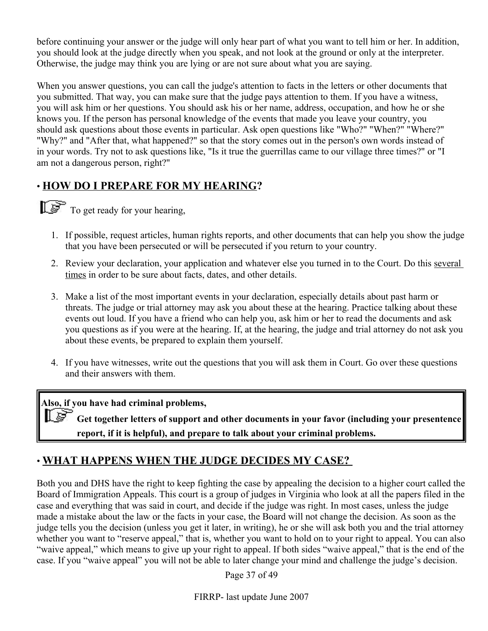before continuing your answer or the judge will only hear part of what you want to tell him or her. In addition, you should look at the judge directly when you speak, and not look at the ground or only at the interpreter. Otherwise, the judge may think you are lying or are not sure about what you are saying.

When you answer questions, you can call the judge's attention to facts in the letters or other documents that you submitted. That way, you can make sure that the judge pays attention to them. If you have a witness, you will ask him or her questions. You should ask his or her name, address, occupation, and how he or she knows you. If the person has personal knowledge of the events that made you leave your country, you should ask questions about those events in particular. Ask open questions like "Who?" "When?" "Where?" "Why?" and "After that, what happened?" so that the story comes out in the person's own words instead of in your words. Try not to ask questions like, "Is it true the guerrillas came to our village three times?" or "I am not a dangerous person, right?"

# • **HOW DO I PREPARE FOR MY HEARING?**



 $\mathbb{R}^{\mathbb{R}}$  To get ready for your hearing,

- 1. If possible, request articles, human rights reports, and other documents that can help you show the judge that you have been persecuted or will be persecuted if you return to your country.
- 2. Review your declaration, your application and whatever else you turned in to the Court. Do this several times in order to be sure about facts, dates, and other details.
- 3. Make a list of the most important events in your declaration, especially details about past harm or threats. The judge or trial attorney may ask you about these at the hearing. Practice talking about these events out loud. If you have a friend who can help you, ask him or her to read the documents and ask you questions as if you were at the hearing. If, at the hearing, the judge and trial attorney do not ask you about these events, be prepared to explain them yourself.
- 4. If you have witnesses, write out the questions that you will ask them in Court. Go over these questions and their answers with them.

**Also, if you have had criminal problems,** 

 **Get together letters of support and other documents in your favor (including your presentence report, if it is helpful), and prepare to talk about your criminal problems.**

# • **WHAT HAPPENS WHEN THE JUDGE DECIDES MY CASE?**

Both you and DHS have the right to keep fighting the case by appealing the decision to a higher court called the Board of Immigration Appeals. This court is a group of judges in Virginia who look at all the papers filed in the case and everything that was said in court, and decide if the judge was right. In most cases, unless the judge made a mistake about the law or the facts in your case, the Board will not change the decision. As soon as the judge tells you the decision (unless you get it later, in writing), he or she will ask both you and the trial attorney whether you want to "reserve appeal," that is, whether you want to hold on to your right to appeal. You can also "waive appeal," which means to give up your right to appeal. If both sides "waive appeal," that is the end of the case. If you "waive appeal" you will not be able to later change your mind and challenge the judge's decision.

Page 37 of 49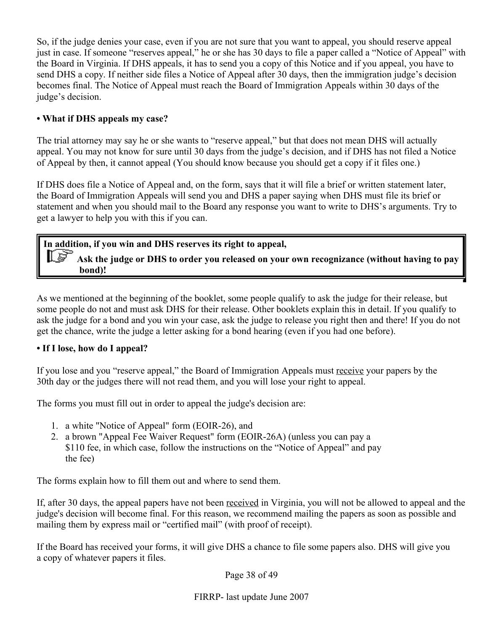So, if the judge denies your case, even if you are not sure that you want to appeal, you should reserve appeal just in case. If someone "reserves appeal," he or she has 30 days to file a paper called a "Notice of Appeal" with the Board in Virginia. If DHS appeals, it has to send you a copy of this Notice and if you appeal, you have to send DHS a copy. If neither side files a Notice of Appeal after 30 days, then the immigration judge's decision becomes final. The Notice of Appeal must reach the Board of Immigration Appeals within 30 days of the judge's decision.

# **• What if DHS appeals my case?**

The trial attorney may say he or she wants to "reserve appeal," but that does not mean DHS will actually appeal. You may not know for sure until 30 days from the judge's decision, and if DHS has not filed a Notice of Appeal by then, it cannot appeal (You should know because you should get a copy if it files one.)

If DHS does file a Notice of Appeal and, on the form, says that it will file a brief or written statement later, the Board of Immigration Appeals will send you and DHS a paper saying when DHS must file its brief or statement and when you should mail to the Board any response you want to write to DHS's arguments. Try to get a lawyer to help you with this if you can.

# **In addition, if you win and DHS reserves its right to appeal,**

 **Ask the judge or DHS to order you released on your own recognizance (without having to pay bond)!** 

As we mentioned at the beginning of the booklet, some people qualify to ask the judge for their release, but some people do not and must ask DHS for their release. Other booklets explain this in detail. If you qualify to ask the judge for a bond and you win your case, ask the judge to release you right then and there! If you do not get the chance, write the judge a letter asking for a bond hearing (even if you had one before).

# **• If I lose, how do I appeal?**

If you lose and you "reserve appeal," the Board of Immigration Appeals must receive your papers by the 30th day or the judges there will not read them, and you will lose your right to appeal.

The forms you must fill out in order to appeal the judge's decision are:

- 1. a white "Notice of Appeal" form (EOIR-26), and
- 2. a brown "Appeal Fee Waiver Request" form (EOIR-26A) (unless you can pay a \$110 fee, in which case, follow the instructions on the "Notice of Appeal" and pay the fee)

The forms explain how to fill them out and where to send them.

If, after 30 days, the appeal papers have not been received in Virginia, you will not be allowed to appeal and the judge's decision will become final. For this reason, we recommend mailing the papers as soon as possible and mailing them by express mail or "certified mail" (with proof of receipt).

If the Board has received your forms, it will give DHS a chance to file some papers also. DHS will give you a copy of whatever papers it files.

Page 38 of 49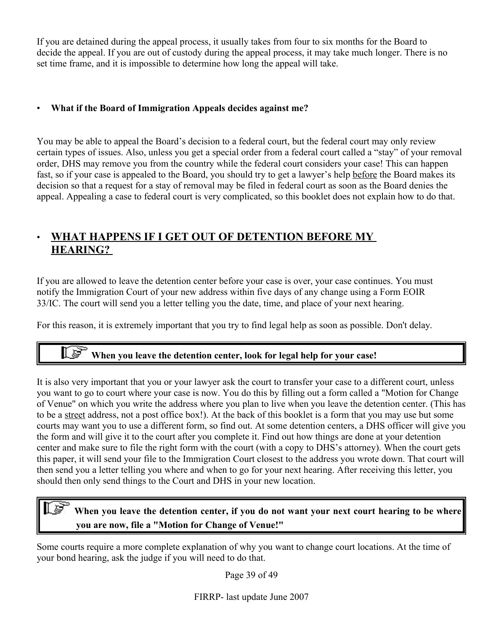If you are detained during the appeal process, it usually takes from four to six months for the Board to decide the appeal. If you are out of custody during the appeal process, it may take much longer. There is no set time frame, and it is impossible to determine how long the appeal will take.

### • **What if the Board of Immigration Appeals decides against me?**

You may be able to appeal the Board's decision to a federal court, but the federal court may only review certain types of issues. Also, unless you get a special order from a federal court called a "stay" of your removal order, DHS may remove you from the country while the federal court considers your case! This can happen fast, so if your case is appealed to the Board, you should try to get a lawyer's help before the Board makes its decision so that a request for a stay of removal may be filed in federal court as soon as the Board denies the appeal. Appealing a case to federal court is very complicated, so this booklet does not explain how to do that.

# • **WHAT HAPPENS IF I GET OUT OF DETENTION BEFORE MY HEARING?**

If you are allowed to leave the detention center before your case is over, your case continues. You must notify the Immigration Court of your new address within five days of any change using a Form EOIR 33/IC. The court will send you a letter telling you the date, time, and place of your next hearing.

For this reason, it is extremely important that you try to find legal help as soon as possible. Don't delay.

# **When you leave the detention center, look for legal help for your case!**

It is also very important that you or your lawyer ask the court to transfer your case to a different court, unless you want to go to court where your case is now. You do this by filling out a form called a "Motion for Change of Venue" on which you write the address where you plan to live when you leave the detention center. (This has to be a street address, not a post office box!). At the back of this booklet is a form that you may use but some courts may want you to use a different form, so find out. At some detention centers, a DHS officer will give you the form and will give it to the court after you complete it. Find out how things are done at your detention center and make sure to file the right form with the court (with a copy to DHS's attorney). When the court gets this paper, it will send your file to the Immigration Court closest to the address you wrote down. That court will then send you a letter telling you where and when to go for your next hearing. After receiving this letter, you should then only send things to the Court and DHS in your new location.

# **When you leave the detention center, if you do not want your next court hearing to be where you are now, file a "Motion for Change of Venue!"**

Some courts require a more complete explanation of why you want to change court locations. At the time of your bond hearing, ask the judge if you will need to do that.

Page 39 of 49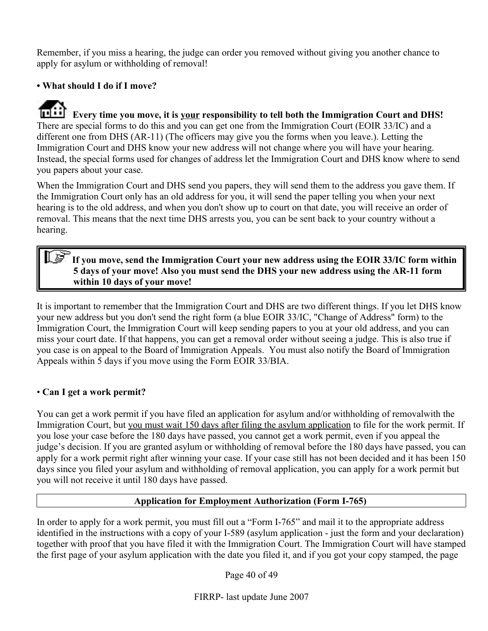Remember, if you miss a hearing, the judge can order you removed without giving you another chance to apply for asylum or withholding of removal!

# **• What should I do if I move?**

**EVERTIFE 1.1** Every time you move, it is <u>your</u> responsibility to tell both the Immigration Court and DHS! There are special forms to do this and you can get one from the Immigration Court (EOIR 33/IC) and a different one from DHS (AR-11) (The officers may give you the forms when you leave.). Letting the Immigration Court and DHS know your new address will not change where you will have your hearing. Instead, the special forms used for changes of address let the Immigration Court and DHS know where to send you papers about your case.

When the Immigration Court and DHS send you papers, they will send them to the address you gave them. If the Immigration Court only has an old address for you, it will send the paper telling you when your next hearing is to the old address, and when you don't show up to court on that date, you will receive an order of removal. This means that the next time DHS arrests you, you can be sent back to your country without a hearing.

# **If you move, send the Immigration Court your new address using the EOIR 33/IC form within 5 days of your move! Also you must send the DHS your new address using the AR-11 form within 10 days of your move!**

It is important to remember that the Immigration Court and DHS are two different things. If you let DHS know your new address but you don't send the right form (a blue EOIR 33/IC, "Change of Address" form) to the Immigration Court, the Immigration Court will keep sending papers to you at your old address, and you can miss your court date. If that happens, you can get a removal order without seeing a judge. This is also true if you case is on appeal to the Board of Immigration Appeals. You must also notify the Board of Immigration Appeals within 5 days if you move using the Form EOIR 33/BIA.

# • **Can I get a work permit?**

You can get a work permit if you have filed an application for asylum and/or withholding of removalwith the Immigration Court, but you must wait 150 days after filing the asylum application to file for the work permit. If you lose your case before the 180 days have passed, you cannot get a work permit, even if you appeal the judge's decision. If you are granted asylum or withholding of removal before the 180 days have passed, you can apply for a work permit right after winning your case. If your case still has not been decided and it has been 150 days since you filed your asylum and withholding of removal application, you can apply for a work permit but you will not receive it until 180 days have passed.

#### **Application for Employment Authorization (Form I-765)**

In order to apply for a work permit, you must fill out a "Form I-765" and mail it to the appropriate address identified in the instructions with a copy of your I-589 (asylum application - just the form and your declaration) together with proof that you have filed it with the Immigration Court. The Immigration Court will have stamped the first page of your asylum application with the date you filed it, and if you got your copy stamped, the page

Page 40 of 49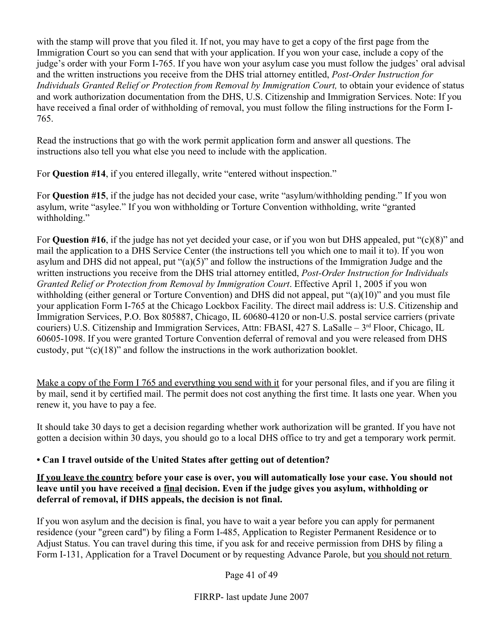with the stamp will prove that you filed it. If not, you may have to get a copy of the first page from the Immigration Court so you can send that with your application. If you won your case, include a copy of the judge's order with your Form I-765. If you have won your asylum case you must follow the judges' oral advisal and the written instructions you receive from the DHS trial attorney entitled, *Post-Order Instruction for Individuals Granted Relief or Protection from Removal by Immigration Court,* to obtain your evidence of status and work authorization documentation from the DHS, U.S. Citizenship and Immigration Services. Note: If you have received a final order of withholding of removal, you must follow the filing instructions for the Form I-765.

Read the instructions that go with the work permit application form and answer all questions. The instructions also tell you what else you need to include with the application.

For **Question #14**, if you entered illegally, write "entered without inspection."

For **Question #15**, if the judge has not decided your case, write "asylum/withholding pending." If you won asylum, write "asylee." If you won withholding or Torture Convention withholding, write "granted withholding."

For **Question #16**, if the judge has not yet decided your case, or if you won but DHS appealed, put "(c)(8)" and mail the application to a DHS Service Center (the instructions tell you which one to mail it to). If you won asylum and DHS did not appeal, put "(a)(5)" and follow the instructions of the Immigration Judge and the written instructions you receive from the DHS trial attorney entitled, *Post-Order Instruction for Individuals Granted Relief or Protection from Removal by Immigration Court*. Effective April 1, 2005 if you won withholding (either general or Torture Convention) and DHS did not appeal, put "(a)(10)" and you must file your application Form I-765 at the Chicago Lockbox Facility. The direct mail address is: U.S. Citizenship and Immigration Services, P.O. Box 805887, Chicago, IL 60680-4120 or non-U.S. postal service carriers (private couriers) U.S. Citizenship and Immigration Services, Attn: FBASI, 427 S. LaSalle – 3<sup>rd</sup> Floor, Chicago, IL 60605-1098. If you were granted Torture Convention deferral of removal and you were released from DHS custody, put " $(c)(18)$ " and follow the instructions in the work authorization booklet.

Make a copy of the Form I 765 and everything you send with it for your personal files, and if you are filing it by mail, send it by certified mail. The permit does not cost anything the first time. It lasts one year. When you renew it, you have to pay a fee.

It should take 30 days to get a decision regarding whether work authorization will be granted. If you have not gotten a decision within 30 days, you should go to a local DHS office to try and get a temporary work permit.

# **• Can I travel outside of the United States after getting out of detention?**

**If you leave the country before your case is over, you will automatically lose your case. You should not leave until you have received a final decision. Even if the judge gives you asylum, withholding or deferral of removal, if DHS appeals, the decision is not final.**

If you won asylum and the decision is final, you have to wait a year before you can apply for permanent residence (your "green card") by filing a Form I-485, Application to Register Permanent Residence or to Adjust Status. You can travel during this time, if you ask for and receive permission from DHS by filing a Form I-131, Application for a Travel Document or by requesting Advance Parole, but you should not return

Page 41 of 49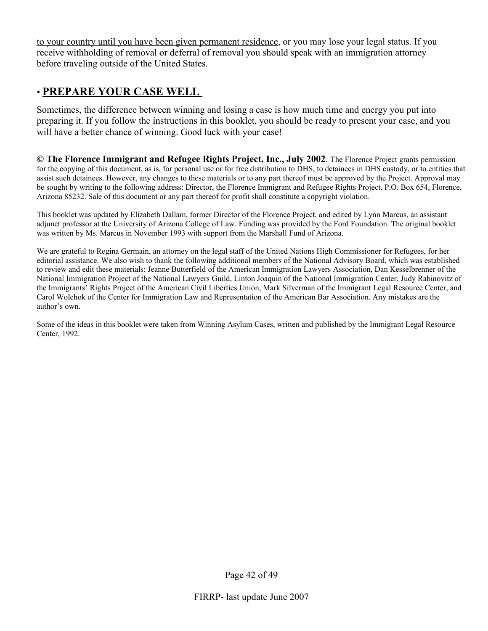to your country until you have been given permanent residence, or you may lose your legal status. If you receive withholding of removal or deferral of removal you should speak with an immigration attorney before traveling outside of the United States.

# • **PREPARE YOUR CASE WELL**

Sometimes, the difference between winning and losing a case is how much time and energy you put into preparing it. If you follow the instructions in this booklet, you should be ready to present your case, and you will have a better chance of winning. Good luck with your case!

**© The Florence Immigrant and Refugee Rights Project, Inc., July 2002**. The Florence Project grants permission for the copying of this document, as is, for personal use or for free distribution to DHS, to detainees in DHS custody, or to entities that assist such detainees. However, any changes to these materials or to any part thereof must be approved by the Project. Approval may be sought by writing to the following address: Director, the Florence Immigrant and Refugee Rights Project, P.O. Box 654, Florence, Arizona 85232. Sale of this document or any part thereof for profit shall constitute a copyright violation.

This booklet was updated by Elizabeth Dallam, former Director of the Florence Project, and edited by Lynn Marcus, an assistant adjunct professor at the University of Arizona College of Law. Funding was provided by the Ford Foundation. The original booklet was written by Ms. Marcus in November 1993 with support from the Marshall Fund of Arizona.

We are grateful to Regina Germain, an attorney on the legal staff of the United Nations High Commissioner for Refugees, for her editorial assistance. We also wish to thank the following additional members of the National Advisory Board, which was established to review and edit these materials: Jeanne Butterfield of the American Immigration Lawyers Association, Dan Kesselbrenner of the National Immigration Project of the National Lawyers Guild, Linton Joaquin of the National Immigration Center, Judy Rabinovitz of the Immigrants' Rights Project of the American Civil Liberties Union, Mark Silverman of the Immigrant Legal Resource Center, and Carol Wolchok of the Center for Immigration Law and Representation of the American Bar Association. Any mistakes are the author's own.

Some of the ideas in this booklet were taken from Winning Asylum Cases, written and published by the Immigrant Legal Resource Center, 1992.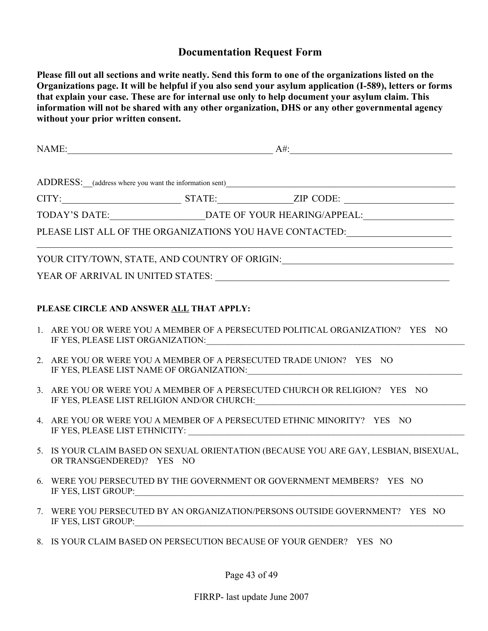# **Documentation Request Form**

**Please fill out all sections and write neatly. Send this form to one of the organizations listed on the Organizations page. It will be helpful if you also send your asylum application (I-589), letters or forms that explain your case. These are for internal use only to help document your asylum claim. This information will not be shared with any other organization, DHS or any other governmental agency without your prior written consent.** 

| PLEASE LIST ALL OF THE ORGANIZATIONS YOU HAVE CONTACTED:________________________ |                                                                                                                                                                                                                                                                                                              |  |  |  |  |
|----------------------------------------------------------------------------------|--------------------------------------------------------------------------------------------------------------------------------------------------------------------------------------------------------------------------------------------------------------------------------------------------------------|--|--|--|--|
|                                                                                  | YOUR CITY/TOWN, STATE, AND COUNTRY OF ORIGIN: __________________________________                                                                                                                                                                                                                             |  |  |  |  |
|                                                                                  |                                                                                                                                                                                                                                                                                                              |  |  |  |  |
| PLEASE CIRCLE AND ANSWER ALL THAT APPLY:                                         |                                                                                                                                                                                                                                                                                                              |  |  |  |  |
|                                                                                  | 1. ARE YOU OR WERE YOU A MEMBER OF A PERSECUTED POLITICAL ORGANIZATION? YES NO                                                                                                                                                                                                                               |  |  |  |  |
|                                                                                  | 2. ARE YOU OR WERE YOU A MEMBER OF A PERSECUTED TRADE UNION? YES NO<br>IF YES, PLEASE LIST NAME OF ORGANIZATION: University of the Magnus Material Annual Account of the Magnus Magnus Magnus Magnus Magnus Magnus Magnus Magnus Magnus Magnus Magnus Magnus Magnus Magnus Magnus Magnus Magnus Magnu        |  |  |  |  |
|                                                                                  | 3. ARE YOU OR WERE YOU A MEMBER OF A PERSECUTED CHURCH OR RELIGION? YES NO<br>IF YES, PLEASE LIST RELIGION AND/OR CHURCH: University of the Material Annual Action of the Material Action of the Material Action of the Material Action of the Material Action of the Material Action of the Material Action |  |  |  |  |
|                                                                                  | 4. ARE YOU OR WERE YOU A MEMBER OF A PERSECUTED ETHNIC MINORITY? YES NO                                                                                                                                                                                                                                      |  |  |  |  |
|                                                                                  | 5. IS YOUR CLAIM BASED ON SEXUAL ORIENTATION (BECAUSE YOU ARE GAY, LESBIAN, BISEXUAL,<br>OR TRANSGENDERED)? YES NO                                                                                                                                                                                           |  |  |  |  |
|                                                                                  | WERE YOU PERSECUTED BY THE GOVERNMENT OR GOVERNMENT MEMBERS? YES NO<br>IF YES, LIST GROUP:                                                                                                                                                                                                                   |  |  |  |  |
| 7.                                                                               | WERE YOU PERSECUTED BY AN ORGANIZATION/PERSONS OUTSIDE GOVERNMENT? YES NO<br>IF YES, LIST GROUP:                                                                                                                                                                                                             |  |  |  |  |
|                                                                                  | 8. IS YOUR CLAIM BASED ON PERSECUTION BECAUSE OF YOUR GENDER? YES NO                                                                                                                                                                                                                                         |  |  |  |  |
| Page 43 of 49                                                                    |                                                                                                                                                                                                                                                                                                              |  |  |  |  |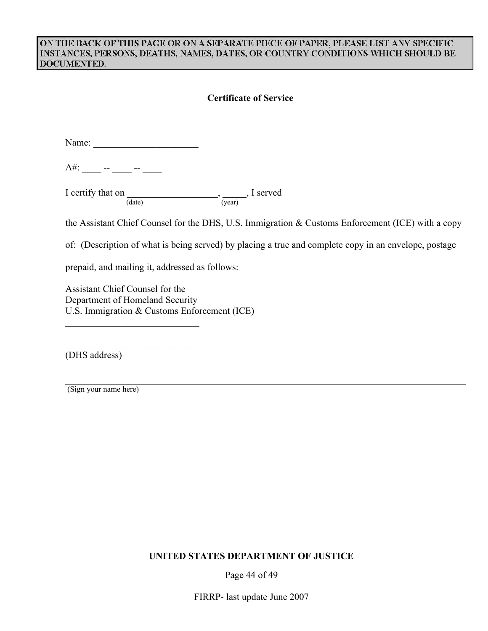#### ON THE BACK OF THIS PAGE OR ON A SEPARATE PIECE OF PAPER, PLEASE LIST ANY SPECIFIC INSTANCES, PERSONS, DEATHS, NAMES, DATES, OR COUNTRY CONDITIONS WHICH SHOULD BE DOCUMENTED.

#### **Certificate of Service**

| Name: |  |  |
|-------|--|--|
|       |  |  |

A#: \_\_\_\_ -- \_\_\_\_ -- \_\_\_\_

I certify that on \_\_\_\_\_\_\_\_\_\_\_\_\_\_\_\_\_\_\_\_\_\_\_\_\_, \_\_\_\_\_\_, I served (date) (year)

the Assistant Chief Counsel for the DHS, U.S. Immigration & Customs Enforcement (ICE) with a copy

of: (Description of what is being served) by placing a true and complete copy in an envelope, postage

prepaid, and mailing it, addressed as follows:

\_\_\_\_\_\_\_\_\_\_\_\_\_\_\_\_\_\_\_\_\_\_\_\_\_\_\_\_ \_\_\_\_\_\_\_\_\_\_\_\_\_\_\_\_\_\_\_\_\_\_\_\_\_\_\_\_ \_\_\_\_\_\_\_\_\_\_\_\_\_\_\_\_\_\_\_\_\_\_\_\_\_\_\_\_

Assistant Chief Counsel for the Department of Homeland Security U.S. Immigration & Customs Enforcement (ICE)

(DHS address)

(Sign your name here)

#### **UNITED STATES DEPARTMENT OF JUSTICE**

Page 44 of 49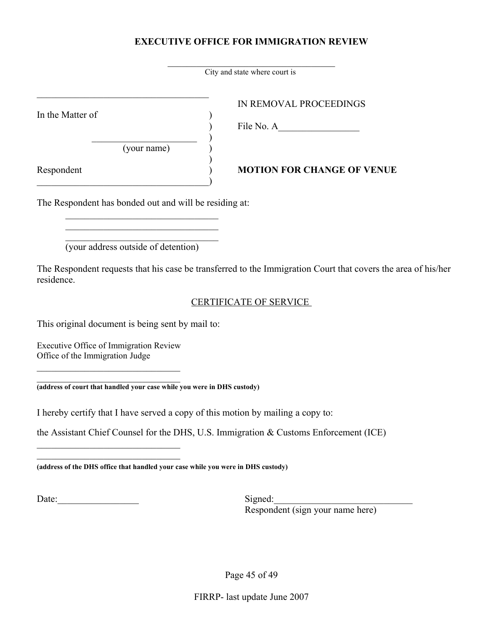# **EXECUTIVE OFFICE FOR IMMIGRATION REVIEW**

|                                                                                  | City and state where court is                                                                                 |  |  |
|----------------------------------------------------------------------------------|---------------------------------------------------------------------------------------------------------------|--|--|
| In the Matter of<br>(your name)                                                  | IN REMOVAL PROCEEDINGS                                                                                        |  |  |
| Respondent                                                                       | <b>MOTION FOR CHANGE OF VENUE</b>                                                                             |  |  |
| The Respondent has bonded out and will be residing at:                           |                                                                                                               |  |  |
| (your address outside of detention)<br>residence.                                | The Respondent requests that his case be transferred to the Immigration Court that covers the area of his/her |  |  |
|                                                                                  | <b>CERTIFICATE OF SERVICE</b>                                                                                 |  |  |
| This original document is being sent by mail to:                                 |                                                                                                               |  |  |
| Executive Office of Immigration Review<br>Office of the Immigration Judge        |                                                                                                               |  |  |
| (address of court that handled your case while you were in DHS custody)          |                                                                                                               |  |  |
| I hereby certify that I have served a copy of this motion by mailing a copy to:  |                                                                                                               |  |  |
|                                                                                  | the Assistant Chief Counsel for the DHS, U.S. Immigration & Customs Enforcement (ICE)                         |  |  |
| (address of the DHS office that handled your case while you were in DHS custody) |                                                                                                               |  |  |
| Date:                                                                            | Signed:<br>Respondent (sign your name here)                                                                   |  |  |

Page 45 of 49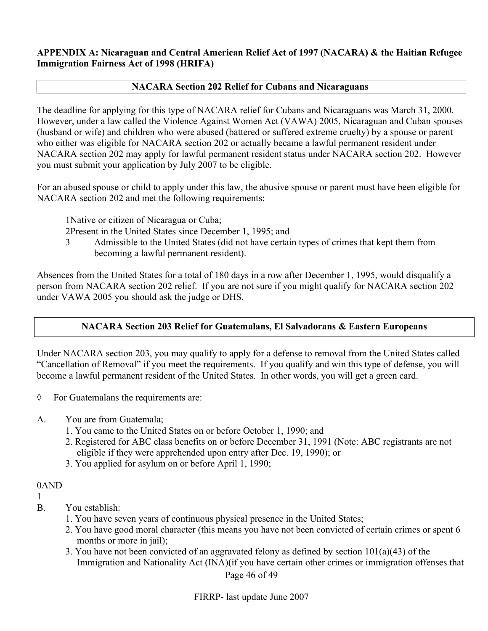#### **APPENDIX A: Nicaraguan and Central American Relief Act of 1997 (NACARA) & the Haitian Refugee Immigration Fairness Act of 1998 (HRIFA)**

#### **NACARA Section 202 Relief for Cubans and Nicaraguans**

The deadline for applying for this type of NACARA relief for Cubans and Nicaraguans was March 31, 2000. However, under a law called the Violence Against Women Act (VAWA) 2005, Nicaraguan and Cuban spouses (husband or wife) and children who were abused (battered or suffered extreme cruelty) by a spouse or parent who either was eligible for NACARA section 202 or actually became a lawful permanent resident under NACARA section 202 may apply for lawful permanent resident status under NACARA section 202. However you must submit your application by July 2007 to be eligible.

For an abused spouse or child to apply under this law, the abusive spouse or parent must have been eligible for NACARA section 202 and met the following requirements:

1Native or citizen of Nicaragua or Cuba;

2Present in the United States since December 1, 1995; and

3 Admissible to the United States (did not have certain types of crimes that kept them from becoming a lawful permanent resident).

Absences from the United States for a total of 180 days in a row after December 1, 1995, would disqualify a person from NACARA section 202 relief. If you are not sure if you might qualify for NACARA section 202 under VAWA 2005 you should ask the judge or DHS.

# **NACARA Section 203 Relief for Guatemalans, El Salvadorans & Eastern Europeans**

Under NACARA section 203, you may qualify to apply for a defense to removal from the United States called "Cancellation of Removal" if you meet the requirements. If you qualify and win this type of defense, you will become a lawful permanent resident of the United States. In other words, you will get a green card.

- ◊ For Guatemalans the requirements are:
- A. You are from Guatemala;
	- 1. You came to the United States on or before October 1, 1990; and
	- 2. Registered for ABC class benefits on or before December 31, 1991 (Note: ABC registrants are not eligible if they were apprehended upon entry after Dec. 19, 1990); or
	- 3. You applied for asylum on or before April 1, 1990;

0AND

1

- B. You establish:
	- 1. You have seven years of continuous physical presence in the United States;
	- 2. You have good moral character (this means you have not been convicted of certain crimes or spent 6 months or more in jail):
	- 3. You have not been convicted of an aggravated felony as defined by section 101(a)(43) of the Immigration and Nationality Act (INA)(if you have certain other crimes or immigration offenses that

Page 46 of 49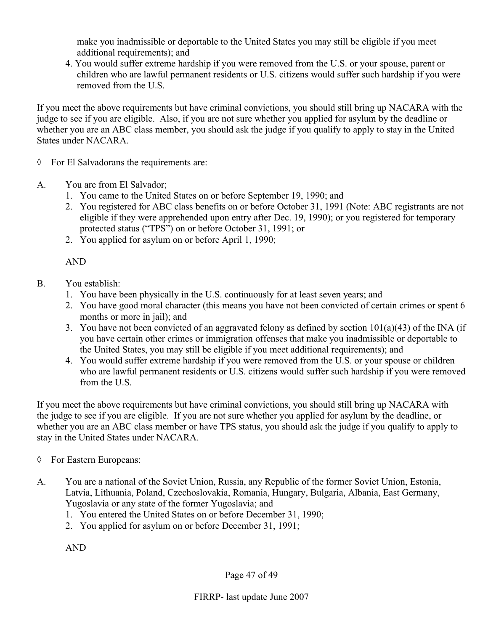make you inadmissible or deportable to the United States you may still be eligible if you meet additional requirements); and

4. You would suffer extreme hardship if you were removed from the U.S. or your spouse, parent or children who are lawful permanent residents or U.S. citizens would suffer such hardship if you were removed from the U.S.

If you meet the above requirements but have criminal convictions, you should still bring up NACARA with the judge to see if you are eligible. Also, if you are not sure whether you applied for asylum by the deadline or whether you are an ABC class member, you should ask the judge if you qualify to apply to stay in the United States under NACARA.

- ◊ For El Salvadorans the requirements are:
- A. You are from El Salvador;
	- 1. You came to the United States on or before September 19, 1990; and
	- 2. You registered for ABC class benefits on or before October 31, 1991 (Note: ABC registrants are not eligible if they were apprehended upon entry after Dec. 19, 1990); or you registered for temporary protected status ("TPS") on or before October 31, 1991; or
	- 2. You applied for asylum on or before April 1, 1990;

AND

- B. You establish:
	- 1. You have been physically in the U.S. continuously for at least seven years; and
	- 2. You have good moral character (this means you have not been convicted of certain crimes or spent 6 months or more in jail); and
	- 3. You have not been convicted of an aggravated felony as defined by section 101(a)(43) of the INA (if you have certain other crimes or immigration offenses that make you inadmissible or deportable to the United States, you may still be eligible if you meet additional requirements); and
	- 4. You would suffer extreme hardship if you were removed from the U.S. or your spouse or children who are lawful permanent residents or U.S. citizens would suffer such hardship if you were removed from the U.S.

If you meet the above requirements but have criminal convictions, you should still bring up NACARA with the judge to see if you are eligible. If you are not sure whether you applied for asylum by the deadline, or whether you are an ABC class member or have TPS status, you should ask the judge if you qualify to apply to stay in the United States under NACARA.

- ◊ For Eastern Europeans:
- A. You are a national of the Soviet Union, Russia, any Republic of the former Soviet Union, Estonia, Latvia, Lithuania, Poland, Czechoslovakia, Romania, Hungary, Bulgaria, Albania, East Germany, Yugoslavia or any state of the former Yugoslavia; and
	- 1. You entered the United States on or before December 31, 1990;
	- 2. You applied for asylum on or before December 31, 1991;

AND

Page 47 of 49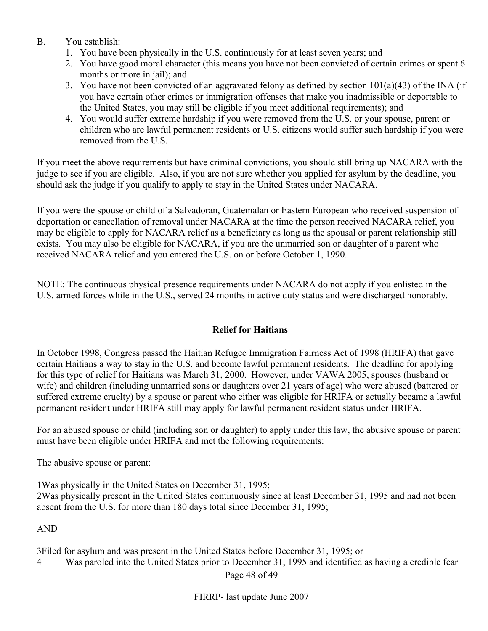# B. You establish:

- 1. You have been physically in the U.S. continuously for at least seven years; and
- 2. You have good moral character (this means you have not been convicted of certain crimes or spent 6 months or more in jail); and
- 3. You have not been convicted of an aggravated felony as defined by section 101(a)(43) of the INA (if you have certain other crimes or immigration offenses that make you inadmissible or deportable to the United States, you may still be eligible if you meet additional requirements); and
- 4. You would suffer extreme hardship if you were removed from the U.S. or your spouse, parent or children who are lawful permanent residents or U.S. citizens would suffer such hardship if you were removed from the U.S.

If you meet the above requirements but have criminal convictions, you should still bring up NACARA with the judge to see if you are eligible. Also, if you are not sure whether you applied for asylum by the deadline, you should ask the judge if you qualify to apply to stay in the United States under NACARA.

If you were the spouse or child of a Salvadoran, Guatemalan or Eastern European who received suspension of deportation or cancellation of removal under NACARA at the time the person received NACARA relief, you may be eligible to apply for NACARA relief as a beneficiary as long as the spousal or parent relationship still exists. You may also be eligible for NACARA, if you are the unmarried son or daughter of a parent who received NACARA relief and you entered the U.S. on or before October 1, 1990.

NOTE: The continuous physical presence requirements under NACARA do not apply if you enlisted in the U.S. armed forces while in the U.S., served 24 months in active duty status and were discharged honorably.

#### **Relief for Haitians**

In October 1998, Congress passed the Haitian Refugee Immigration Fairness Act of 1998 (HRIFA) that gave certain Haitians a way to stay in the U.S. and become lawful permanent residents. The deadline for applying for this type of relief for Haitians was March 31, 2000. However, under VAWA 2005, spouses (husband or wife) and children (including unmarried sons or daughters over 21 years of age) who were abused (battered or suffered extreme cruelty) by a spouse or parent who either was eligible for HRIFA or actually became a lawful permanent resident under HRIFA still may apply for lawful permanent resident status under HRIFA.

For an abused spouse or child (including son or daughter) to apply under this law, the abusive spouse or parent must have been eligible under HRIFA and met the following requirements:

The abusive spouse or parent:

1Was physically in the United States on December 31, 1995;

2Was physically present in the United States continuously since at least December 31, 1995 and had not been absent from the U.S. for more than 180 days total since December 31, 1995;

# AND

3Filed for asylum and was present in the United States before December 31, 1995; or

4 Was paroled into the United States prior to December 31, 1995 and identified as having a credible fear

Page 48 of 49